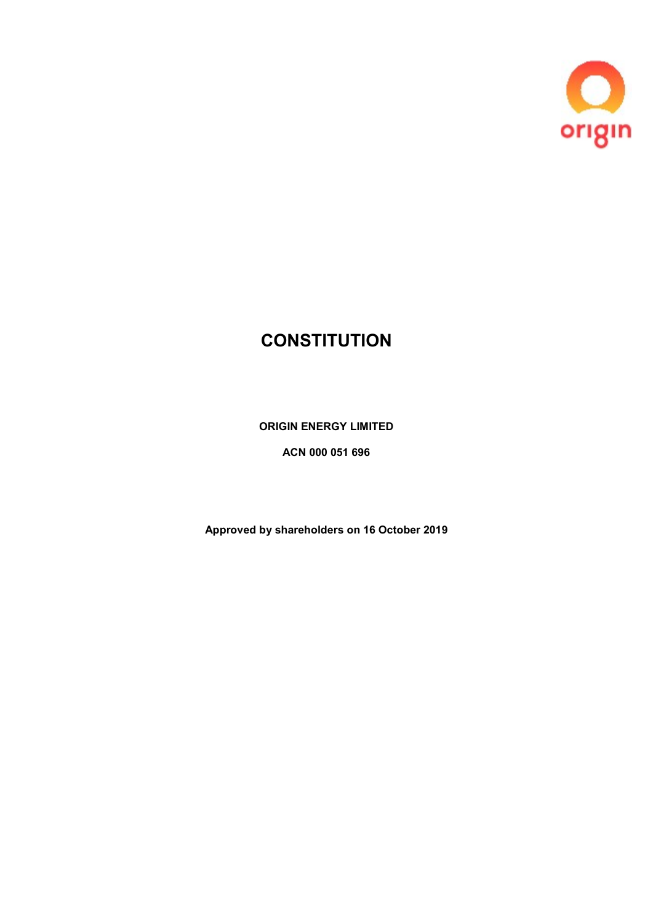

# **CONSTITUTION**

ORIGIN ENERGY LIMITED

ACN 000 051 696

Approved by shareholders on 16 October 2019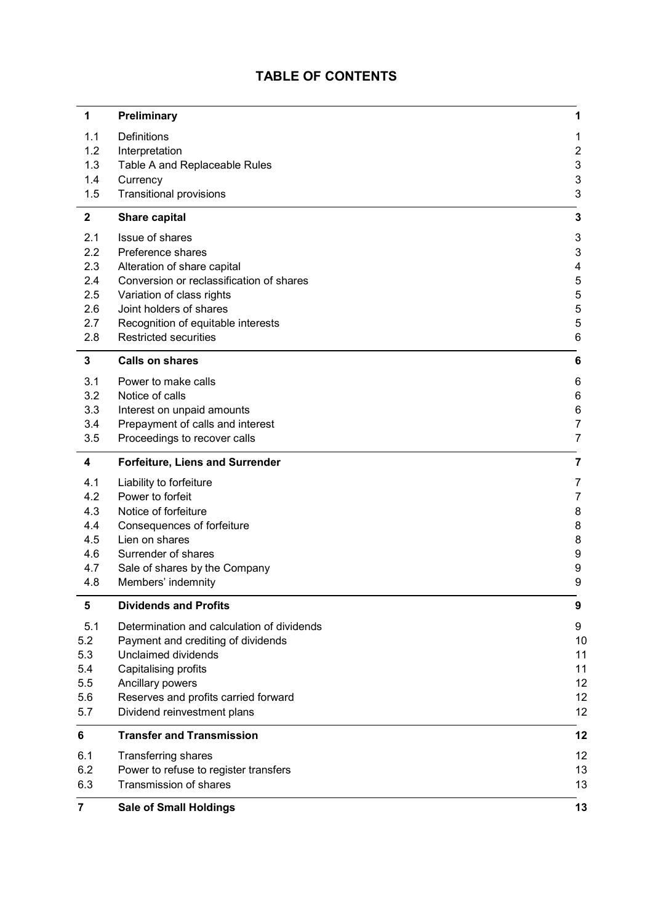## TABLE OF CONTENTS

| 1              | Preliminary                                      | 1        |
|----------------|--------------------------------------------------|----------|
| 1.1<br>1.2     | Definitions<br>Interpretation                    | 1<br>2   |
| 1.3<br>1.4     | Table A and Replaceable Rules<br>Currency        | 3<br>3   |
| 1.5            | <b>Transitional provisions</b>                   | 3        |
| $\mathbf{2}$   | <b>Share capital</b>                             | 3        |
| 2.1            | Issue of shares                                  | 3        |
| 2.2<br>2.3     | Preference shares<br>Alteration of share capital | 3<br>4   |
| 2.4            | Conversion or reclassification of shares         | 5        |
| 2.5            | Variation of class rights                        | 5        |
| 2.6            | Joint holders of shares                          | 5        |
| 2.7            | Recognition of equitable interests               | 5        |
| 2.8            | <b>Restricted securities</b>                     | 6        |
| 3              | <b>Calls on shares</b>                           | 6        |
| 3.1            | Power to make calls                              | 6        |
| 3.2<br>3.3     | Notice of calls<br>Interest on unpaid amounts    | 6<br>6   |
| 3.4            | Prepayment of calls and interest                 | 7        |
| 3.5            | Proceedings to recover calls                     | 7        |
| 4              | <b>Forfeiture, Liens and Surrender</b>           | 7        |
| 4.1            | Liability to forfeiture                          | 7        |
| 4.2            | Power to forfeit                                 | 7        |
| 4.3            | Notice of forfeiture                             | 8        |
| 4.4<br>4.5     | Consequences of forfeiture<br>Lien on shares     | 8<br>8   |
| 4.6            | Surrender of shares                              | 9        |
| 4.7            | Sale of shares by the Company                    | 9        |
| 4.8            | Members' indemnity                               | 9        |
| 5              | <b>Dividends and Profits</b>                     | 9        |
| 5.1            | Determination and calculation of dividends       | 9        |
| 5.2            | Payment and crediting of dividends               | 10       |
| 5.3<br>5.4     | Unclaimed dividends<br>Capitalising profits      | 11<br>11 |
| 5.5            | Ancillary powers                                 | 12       |
| 5.6            | Reserves and profits carried forward             | 12       |
| 5.7            | Dividend reinvestment plans                      | 12       |
| 6              | <b>Transfer and Transmission</b>                 | 12       |
| 6.1            | <b>Transferring shares</b>                       | 12       |
| 6.2            | Power to refuse to register transfers            | 13       |
| 6.3            | Transmission of shares                           | 13       |
| $\overline{7}$ | <b>Sale of Small Holdings</b>                    | 13       |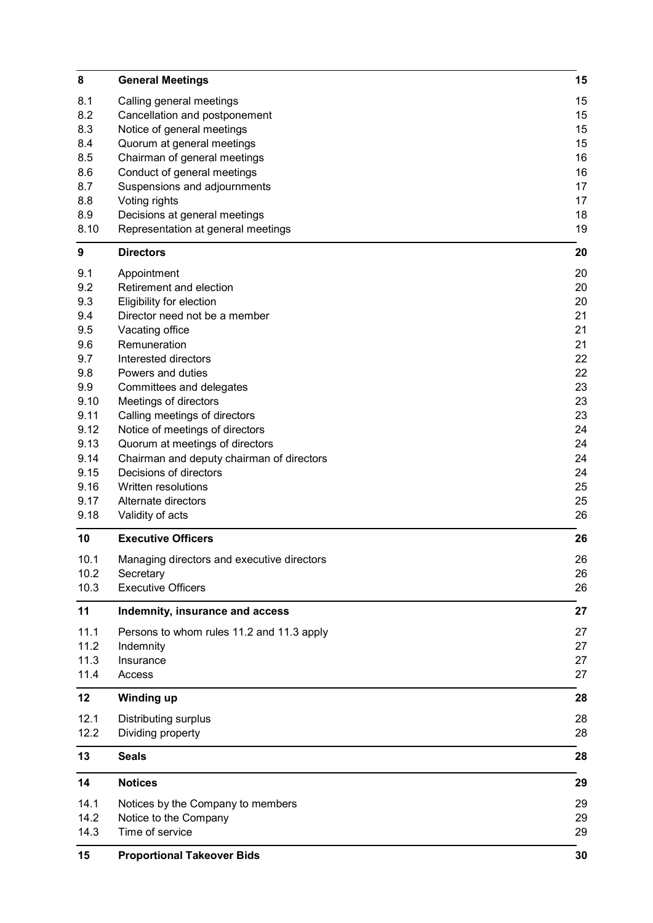| 8            | <b>General Meetings</b>                                                      | 15       |
|--------------|------------------------------------------------------------------------------|----------|
| 8.1          | Calling general meetings                                                     | 15       |
| 8.2          | Cancellation and postponement                                                | 15       |
| 8.3          | Notice of general meetings                                                   | 15       |
| 8.4          | Quorum at general meetings                                                   | 15       |
| 8.5          | Chairman of general meetings                                                 | 16       |
| 8.6          | Conduct of general meetings                                                  | 16       |
| 8.7          | Suspensions and adjournments                                                 | 17       |
| 8.8          | Voting rights                                                                | 17       |
| 8.9          | Decisions at general meetings                                                | 18       |
| 8.10         | Representation at general meetings                                           | 19       |
| 9            | <b>Directors</b>                                                             | 20       |
| 9.1          | Appointment                                                                  | 20       |
| 9.2          | Retirement and election                                                      | 20       |
| 9.3          | Eligibility for election                                                     | 20       |
| 9.4          | Director need not be a member                                                | 21       |
| 9.5          | Vacating office                                                              | 21       |
| 9.6          | Remuneration                                                                 | 21       |
| 9.7          | Interested directors                                                         | 22       |
| 9.8          | Powers and duties                                                            | 22       |
| 9.9          | Committees and delegates                                                     | 23       |
| 9.10         | Meetings of directors                                                        | 23       |
| 9.11         | Calling meetings of directors                                                | 23       |
| 9.12<br>9.13 | Notice of meetings of directors                                              | 24<br>24 |
| 9.14         | Quorum at meetings of directors<br>Chairman and deputy chairman of directors | 24       |
| 9.15         | Decisions of directors                                                       | 24       |
| 9.16         | Written resolutions                                                          | 25       |
| 9.17         | Alternate directors                                                          | 25       |
| 9.18         | Validity of acts                                                             | 26       |
| 10           | <b>Executive Officers</b>                                                    | 26       |
| 10.1         | Managing directors and executive directors                                   | 26       |
| 10.2         | Secretary                                                                    | 26       |
| 10.3         | <b>Executive Officers</b>                                                    | 26       |
| 11           |                                                                              |          |
| 11.1         | Indemnity, insurance and access                                              | 27<br>27 |
| 11.2         | Persons to whom rules 11.2 and 11.3 apply<br>Indemnity                       | 27       |
| 11.3         | Insurance                                                                    | 27       |
| 11.4         | Access                                                                       | 27       |
|              |                                                                              |          |
| 12           | <b>Winding up</b>                                                            | 28       |
| 12.1         | Distributing surplus                                                         | 28       |
| 12.2         | Dividing property                                                            | 28       |
| 13           | <b>Seals</b>                                                                 | 28       |
| 14           | <b>Notices</b>                                                               | 29       |
| 14.1         | Notices by the Company to members                                            | 29       |
| 14.2         | Notice to the Company                                                        | 29       |
| 14.3         | Time of service                                                              | 29       |
| 15           | <b>Proportional Takeover Bids</b>                                            | 30       |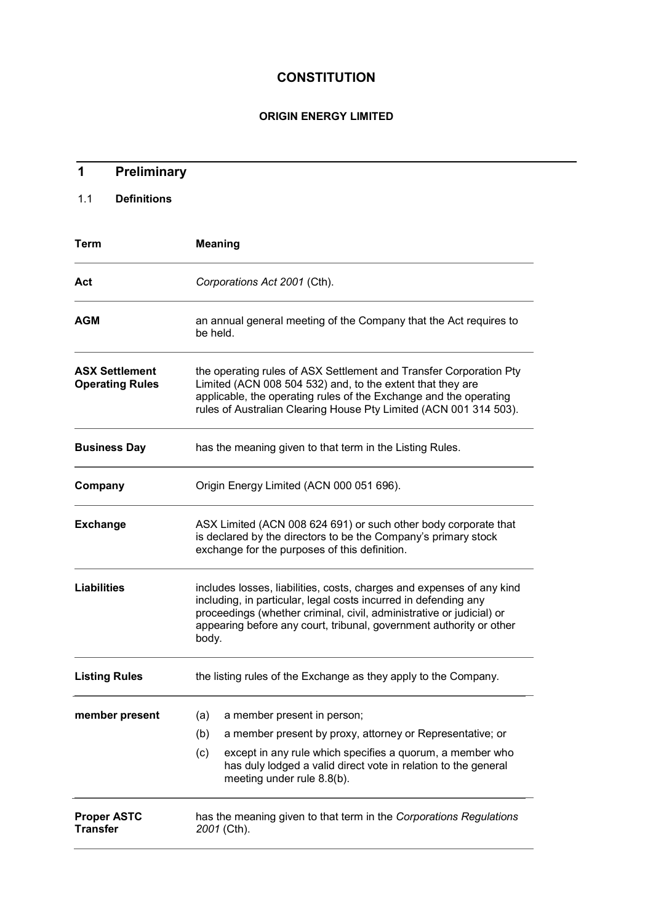## **CONSTITUTION**

## ORIGIN ENERGY LIMITED

| Preliminary<br>1                                |                                                                                                                                                                                                                                                                                                  |  |  |
|-------------------------------------------------|--------------------------------------------------------------------------------------------------------------------------------------------------------------------------------------------------------------------------------------------------------------------------------------------------|--|--|
| <b>Definitions</b><br>1.1                       |                                                                                                                                                                                                                                                                                                  |  |  |
| Term                                            | <b>Meaning</b>                                                                                                                                                                                                                                                                                   |  |  |
| Act                                             | Corporations Act 2001 (Cth).                                                                                                                                                                                                                                                                     |  |  |
| <b>AGM</b>                                      | an annual general meeting of the Company that the Act requires to<br>be held.                                                                                                                                                                                                                    |  |  |
| <b>ASX Settlement</b><br><b>Operating Rules</b> | the operating rules of ASX Settlement and Transfer Corporation Pty<br>Limited (ACN 008 504 532) and, to the extent that they are<br>applicable, the operating rules of the Exchange and the operating<br>rules of Australian Clearing House Pty Limited (ACN 001 314 503).                       |  |  |
| <b>Business Day</b>                             | has the meaning given to that term in the Listing Rules.                                                                                                                                                                                                                                         |  |  |
| Company                                         | Origin Energy Limited (ACN 000 051 696).                                                                                                                                                                                                                                                         |  |  |
| <b>Exchange</b>                                 | ASX Limited (ACN 008 624 691) or such other body corporate that<br>is declared by the directors to be the Company's primary stock<br>exchange for the purposes of this definition.                                                                                                               |  |  |
| <b>Liabilities</b>                              | includes losses, liabilities, costs, charges and expenses of any kind<br>including, in particular, legal costs incurred in defending any<br>proceedings (whether criminal, civil, administrative or judicial) or<br>appearing before any court, tribunal, government authority or other<br>body. |  |  |
| <b>Listing Rules</b>                            | the listing rules of the Exchange as they apply to the Company.                                                                                                                                                                                                                                  |  |  |
| member present                                  | (a)<br>a member present in person;                                                                                                                                                                                                                                                               |  |  |
|                                                 | (b)<br>a member present by proxy, attorney or Representative; or                                                                                                                                                                                                                                 |  |  |
|                                                 | (c)<br>except in any rule which specifies a quorum, a member who<br>has duly lodged a valid direct vote in relation to the general<br>meeting under rule 8.8(b).                                                                                                                                 |  |  |
| <b>Proper ASTC</b><br><b>Transfer</b>           | has the meaning given to that term in the Corporations Regulations<br>2001 (Cth).                                                                                                                                                                                                                |  |  |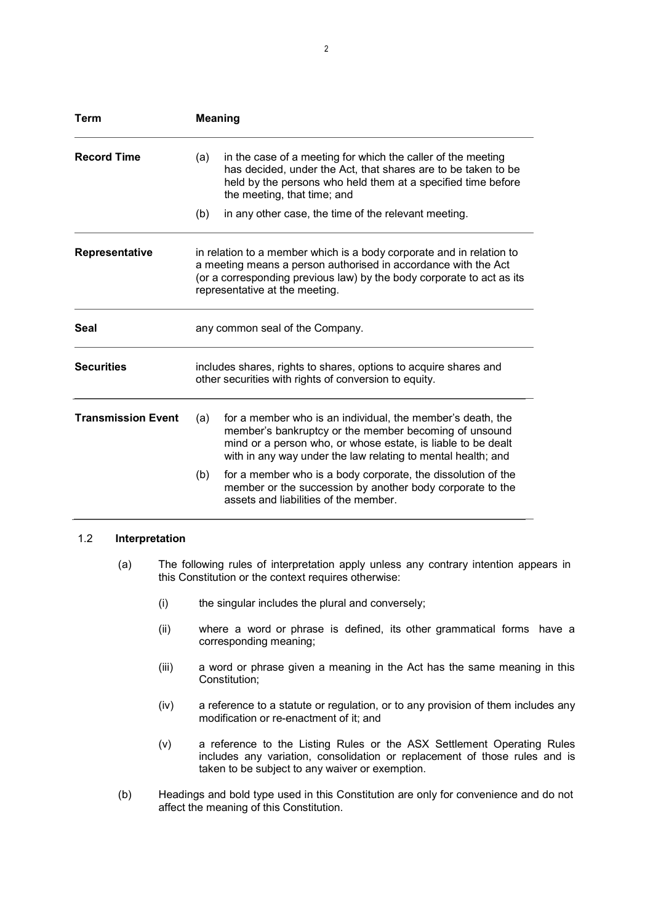| Term                      | <b>Meaning</b>                                                                                                                                                                                                                                    |                                                                                                                                                                                                                                                     |  |  |
|---------------------------|---------------------------------------------------------------------------------------------------------------------------------------------------------------------------------------------------------------------------------------------------|-----------------------------------------------------------------------------------------------------------------------------------------------------------------------------------------------------------------------------------------------------|--|--|
| <b>Record Time</b>        | (a)                                                                                                                                                                                                                                               | in the case of a meeting for which the caller of the meeting<br>has decided, under the Act, that shares are to be taken to be<br>held by the persons who held them at a specified time before<br>the meeting, that time; and                        |  |  |
|                           | (b)                                                                                                                                                                                                                                               | in any other case, the time of the relevant meeting.                                                                                                                                                                                                |  |  |
| Representative            | in relation to a member which is a body corporate and in relation to<br>a meeting means a person authorised in accordance with the Act<br>(or a corresponding previous law) by the body corporate to act as its<br>representative at the meeting. |                                                                                                                                                                                                                                                     |  |  |
| <b>Seal</b>               |                                                                                                                                                                                                                                                   | any common seal of the Company.                                                                                                                                                                                                                     |  |  |
| <b>Securities</b>         | includes shares, rights to shares, options to acquire shares and<br>other securities with rights of conversion to equity.                                                                                                                         |                                                                                                                                                                                                                                                     |  |  |
| <b>Transmission Event</b> | (a)                                                                                                                                                                                                                                               | for a member who is an individual, the member's death, the<br>member's bankruptcy or the member becoming of unsound<br>mind or a person who, or whose estate, is liable to be dealt<br>with in any way under the law relating to mental health; and |  |  |
|                           | (b)                                                                                                                                                                                                                                               | for a member who is a body corporate, the dissolution of the<br>member or the succession by another body corporate to the<br>assets and liabilities of the member.                                                                                  |  |  |

## 1.2 Interpretation

- (a) The following rules of interpretation apply unless any contrary intention appears in this Constitution or the context requires otherwise:
	- (i) the singular includes the plural and conversely;
	- (ii) where a word or phrase is defined, its other grammatical forms have a corresponding meaning;
	- (iii) a word or phrase given a meaning in the Act has the same meaning in this Constitution;
	- (iv) a reference to a statute or regulation, or to any provision of them includes any modification or re-enactment of it; and
	- (v) a reference to the Listing Rules or the ASX Settlement Operating Rules includes any variation, consolidation or replacement of those rules and is taken to be subject to any waiver or exemption.
- (b) Headings and bold type used in this Constitution are only for convenience and do not affect the meaning of this Constitution.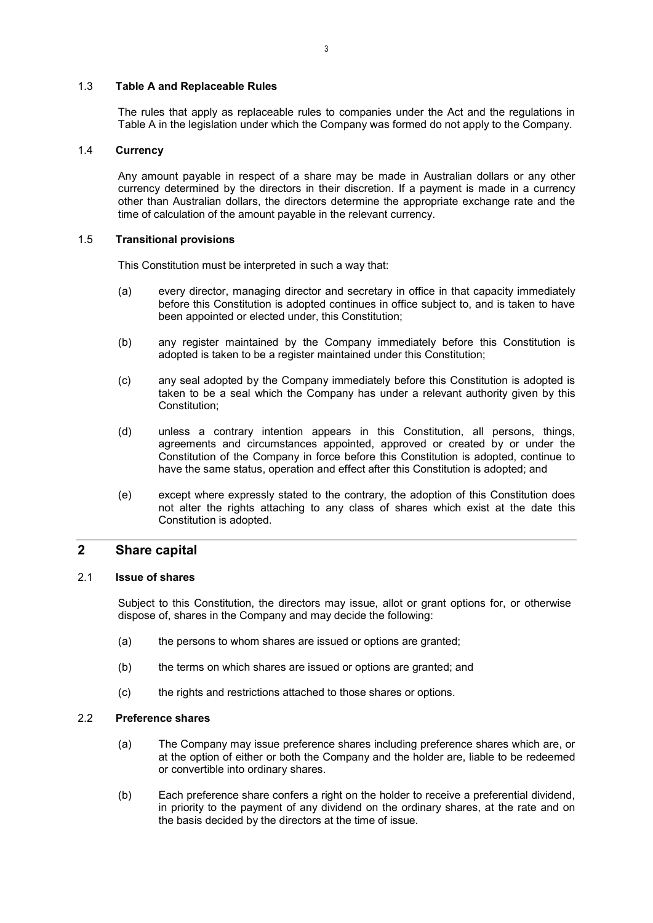#### 1.3 Table A and Replaceable Rules

The rules that apply as replaceable rules to companies under the Act and the regulations in Table A in the legislation under which the Company was formed do not apply to the Company.

## 1.4 Currency

Any amount payable in respect of a share may be made in Australian dollars or any other currency determined by the directors in their discretion. If a payment is made in a currency other than Australian dollars, the directors determine the appropriate exchange rate and the time of calculation of the amount payable in the relevant currency.

#### 1.5 Transitional provisions

This Constitution must be interpreted in such a way that:

- (a) every director, managing director and secretary in office in that capacity immediately before this Constitution is adopted continues in office subject to, and is taken to have been appointed or elected under, this Constitution;
- (b) any register maintained by the Company immediately before this Constitution is adopted is taken to be a register maintained under this Constitution;
- (c) any seal adopted by the Company immediately before this Constitution is adopted is taken to be a seal which the Company has under a relevant authority given by this Constitution;
- (d) unless a contrary intention appears in this Constitution, all persons, things, agreements and circumstances appointed, approved or created by or under the Constitution of the Company in force before this Constitution is adopted, continue to have the same status, operation and effect after this Constitution is adopted; and
- (e) except where expressly stated to the contrary, the adoption of this Constitution does not alter the rights attaching to any class of shares which exist at the date this Constitution is adopted.

## 2 Share capital

## 2.1 Issue of shares

Subject to this Constitution, the directors may issue, allot or grant options for, or otherwise dispose of, shares in the Company and may decide the following:

- (a) the persons to whom shares are issued or options are granted;
- (b) the terms on which shares are issued or options are granted; and
- (c) the rights and restrictions attached to those shares or options.

## 2.2 Preference shares

- (a) The Company may issue preference shares including preference shares which are, or at the option of either or both the Company and the holder are, liable to be redeemed or convertible into ordinary shares.
- (b) Each preference share confers a right on the holder to receive a preferential dividend, in priority to the payment of any dividend on the ordinary shares, at the rate and on the basis decided by the directors at the time of issue.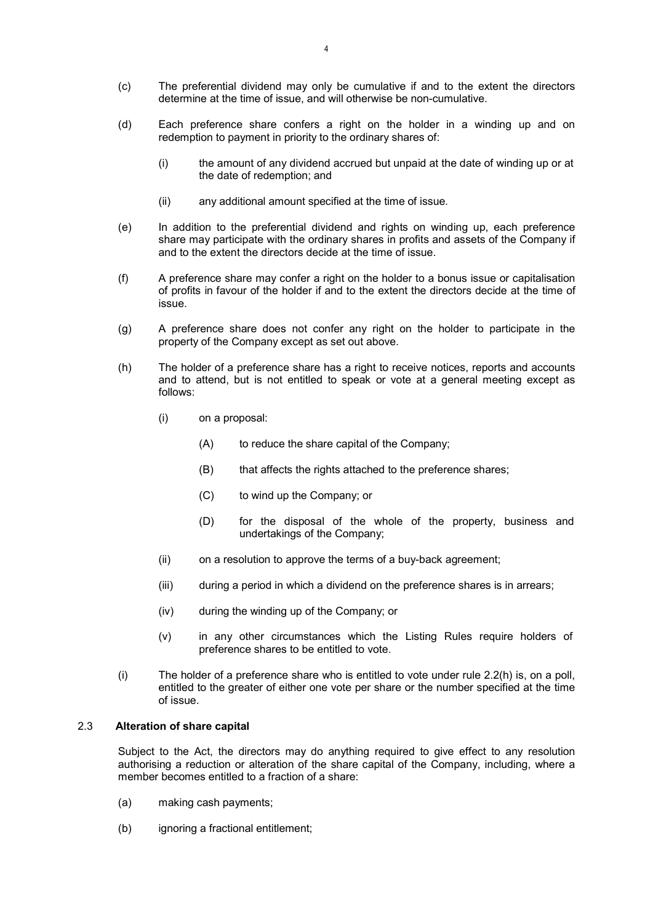- (c) The preferential dividend may only be cumulative if and to the extent the directors determine at the time of issue, and will otherwise be non-cumulative.
- (d) Each preference share confers a right on the holder in a winding up and on redemption to payment in priority to the ordinary shares of:
	- (i) the amount of any dividend accrued but unpaid at the date of winding up or at the date of redemption; and
	- (ii) any additional amount specified at the time of issue.
- (e) In addition to the preferential dividend and rights on winding up, each preference share may participate with the ordinary shares in profits and assets of the Company if and to the extent the directors decide at the time of issue.
- (f) A preference share may confer a right on the holder to a bonus issue or capitalisation of profits in favour of the holder if and to the extent the directors decide at the time of issue.
- (g) A preference share does not confer any right on the holder to participate in the property of the Company except as set out above.
- (h) The holder of a preference share has a right to receive notices, reports and accounts and to attend, but is not entitled to speak or vote at a general meeting except as follows:
	- (i) on a proposal:
		- (A) to reduce the share capital of the Company;
		- (B) that affects the rights attached to the preference shares;
		- (C) to wind up the Company; or
		- (D) for the disposal of the whole of the property, business and undertakings of the Company;
	- (ii) on a resolution to approve the terms of a buy-back agreement;
	- (iii) during a period in which a dividend on the preference shares is in arrears;
	- (iv) during the winding up of the Company; or
	- (v) in any other circumstances which the Listing Rules require holders of preference shares to be entitled to vote.
- (i) The holder of a preference share who is entitled to vote under rule 2.2(h) is, on a poll, entitled to the greater of either one vote per share or the number specified at the time of issue.

## 2.3 Alteration of share capital

Subject to the Act, the directors may do anything required to give effect to any resolution authorising a reduction or alteration of the share capital of the Company, including, where a member becomes entitled to a fraction of a share:

- (a) making cash payments;
- (b) ignoring a fractional entitlement;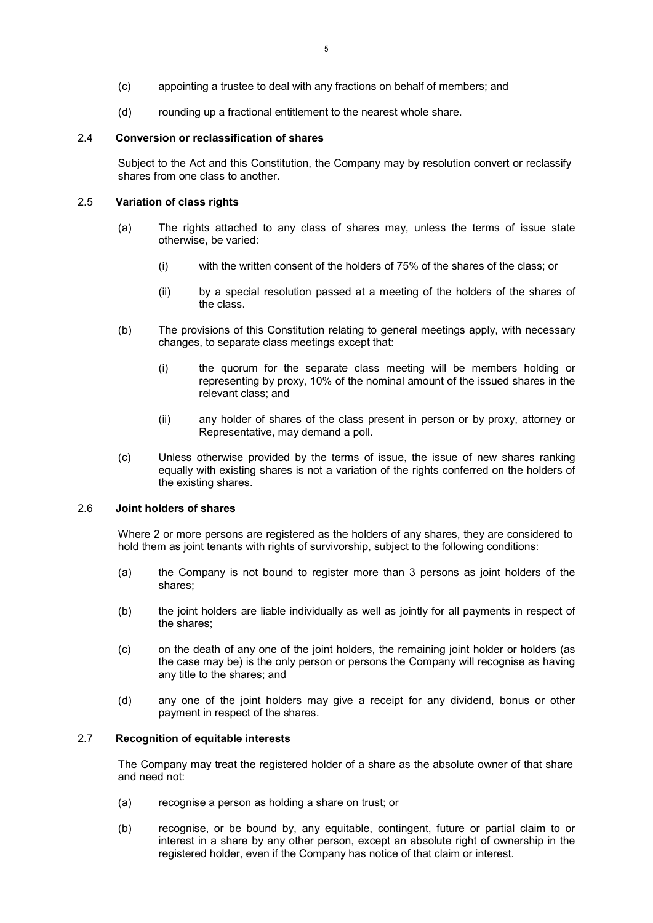- (c) appointing a trustee to deal with any fractions on behalf of members; and
- (d) rounding up a fractional entitlement to the nearest whole share.

## 2.4 Conversion or reclassification of shares

Subject to the Act and this Constitution, the Company may by resolution convert or reclassify shares from one class to another.

## 2.5 Variation of class rights

- (a) The rights attached to any class of shares may, unless the terms of issue state otherwise, be varied:
	- (i) with the written consent of the holders of 75% of the shares of the class; or
	- (ii) by a special resolution passed at a meeting of the holders of the shares of the class.
- (b) The provisions of this Constitution relating to general meetings apply, with necessary changes, to separate class meetings except that:
	- (i) the quorum for the separate class meeting will be members holding or representing by proxy, 10% of the nominal amount of the issued shares in the relevant class; and
	- (ii) any holder of shares of the class present in person or by proxy, attorney or Representative, may demand a poll.
- (c) Unless otherwise provided by the terms of issue, the issue of new shares ranking equally with existing shares is not a variation of the rights conferred on the holders of the existing shares.

## 2.6 Joint holders of shares

Where 2 or more persons are registered as the holders of any shares, they are considered to hold them as joint tenants with rights of survivorship, subject to the following conditions:

- (a) the Company is not bound to register more than 3 persons as joint holders of the shares;
- (b) the joint holders are liable individually as well as jointly for all payments in respect of the shares;
- (c) on the death of any one of the joint holders, the remaining joint holder or holders (as the case may be) is the only person or persons the Company will recognise as having any title to the shares; and
- (d) any one of the joint holders may give a receipt for any dividend, bonus or other payment in respect of the shares.

## 2.7 Recognition of equitable interests

The Company may treat the registered holder of a share as the absolute owner of that share and need not:

- (a) recognise a person as holding a share on trust; or
- (b) recognise, or be bound by, any equitable, contingent, future or partial claim to or interest in a share by any other person, except an absolute right of ownership in the registered holder, even if the Company has notice of that claim or interest.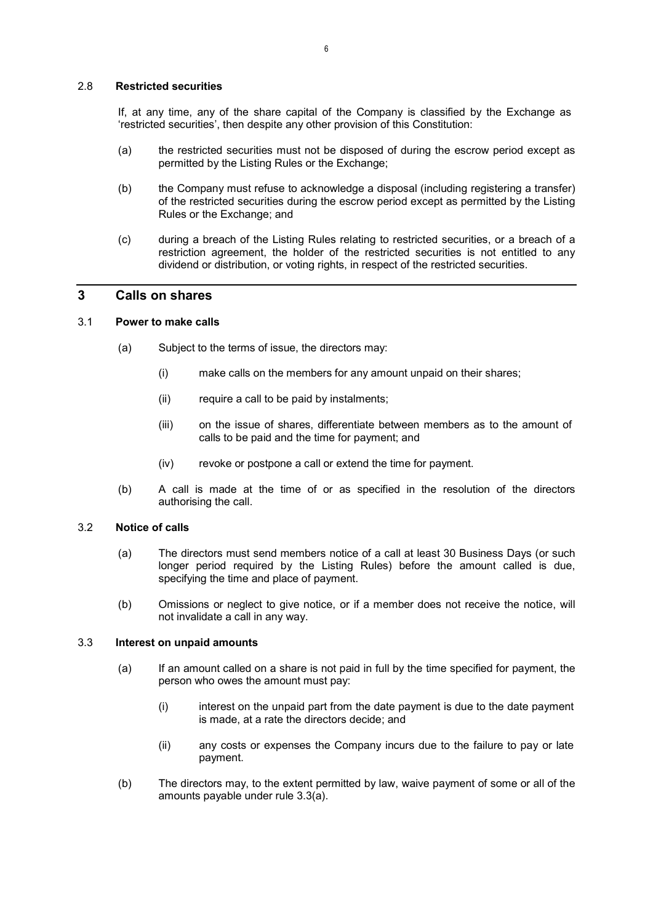#### 2.8 Restricted securities

If, at any time, any of the share capital of the Company is classified by the Exchange as 'restricted securities', then despite any other provision of this Constitution:

- (a) the restricted securities must not be disposed of during the escrow period except as permitted by the Listing Rules or the Exchange;
- (b) the Company must refuse to acknowledge a disposal (including registering a transfer) of the restricted securities during the escrow period except as permitted by the Listing Rules or the Exchange; and
- (c) during a breach of the Listing Rules relating to restricted securities, or a breach of a restriction agreement, the holder of the restricted securities is not entitled to any dividend or distribution, or voting rights, in respect of the restricted securities.

## 3 Calls on shares

## 3.1 Power to make calls

- (a) Subject to the terms of issue, the directors may:
	- (i) make calls on the members for any amount unpaid on their shares;
	- (ii) require a call to be paid by instalments;
	- (iii) on the issue of shares, differentiate between members as to the amount of calls to be paid and the time for payment; and
	- (iv) revoke or postpone a call or extend the time for payment.
- (b) A call is made at the time of or as specified in the resolution of the directors authorising the call.

## 3.2 Notice of calls

- (a) The directors must send members notice of a call at least 30 Business Days (or such longer period required by the Listing Rules) before the amount called is due, specifying the time and place of payment.
- (b) Omissions or neglect to give notice, or if a member does not receive the notice, will not invalidate a call in any way.

#### 3.3 Interest on unpaid amounts

- (a) If an amount called on a share is not paid in full by the time specified for payment, the person who owes the amount must pay:
	- (i) interest on the unpaid part from the date payment is due to the date payment is made, at a rate the directors decide; and
	- (ii) any costs or expenses the Company incurs due to the failure to pay or late payment.
- (b) The directors may, to the extent permitted by law, waive payment of some or all of the amounts payable under rule 3.3(a).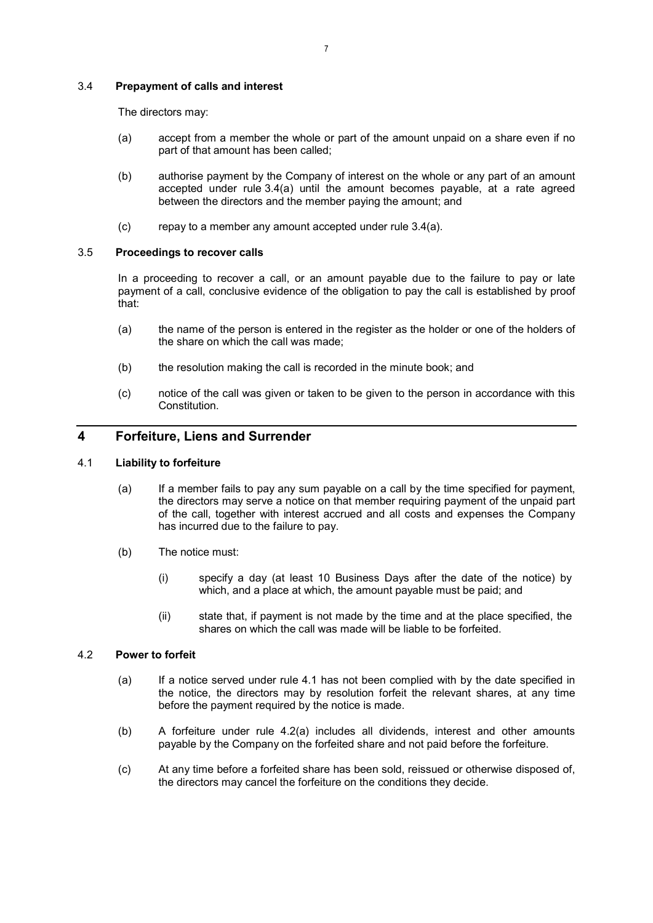## 3.4 Prepayment of calls and interest

The directors may:

- (a) accept from a member the whole or part of the amount unpaid on a share even if no part of that amount has been called;
- (b) authorise payment by the Company of interest on the whole or any part of an amount accepted under rule 3.4(a) until the amount becomes payable, at a rate agreed between the directors and the member paying the amount; and
- (c) repay to a member any amount accepted under rule 3.4(a).

#### 3.5 Proceedings to recover calls

In a proceeding to recover a call, or an amount payable due to the failure to pay or late payment of a call, conclusive evidence of the obligation to pay the call is established by proof that:

- (a) the name of the person is entered in the register as the holder or one of the holders of the share on which the call was made;
- (b) the resolution making the call is recorded in the minute book; and
- (c) notice of the call was given or taken to be given to the person in accordance with this Constitution.

## 4 Forfeiture, Liens and Surrender

## 4.1 Liability to forfeiture

- (a) If a member fails to pay any sum payable on a call by the time specified for payment, the directors may serve a notice on that member requiring payment of the unpaid part of the call, together with interest accrued and all costs and expenses the Company has incurred due to the failure to pay.
- (b) The notice must:
	- (i) specify a day (at least 10 Business Days after the date of the notice) by which, and a place at which, the amount payable must be paid; and
	- (ii) state that, if payment is not made by the time and at the place specified, the shares on which the call was made will be liable to be forfeited.

#### 4.2 Power to forfeit

- (a) If a notice served under rule 4.1 has not been complied with by the date specified in the notice, the directors may by resolution forfeit the relevant shares, at any time before the payment required by the notice is made.
- (b) A forfeiture under rule 4.2(a) includes all dividends, interest and other amounts payable by the Company on the forfeited share and not paid before the forfeiture.
- (c) At any time before a forfeited share has been sold, reissued or otherwise disposed of, the directors may cancel the forfeiture on the conditions they decide.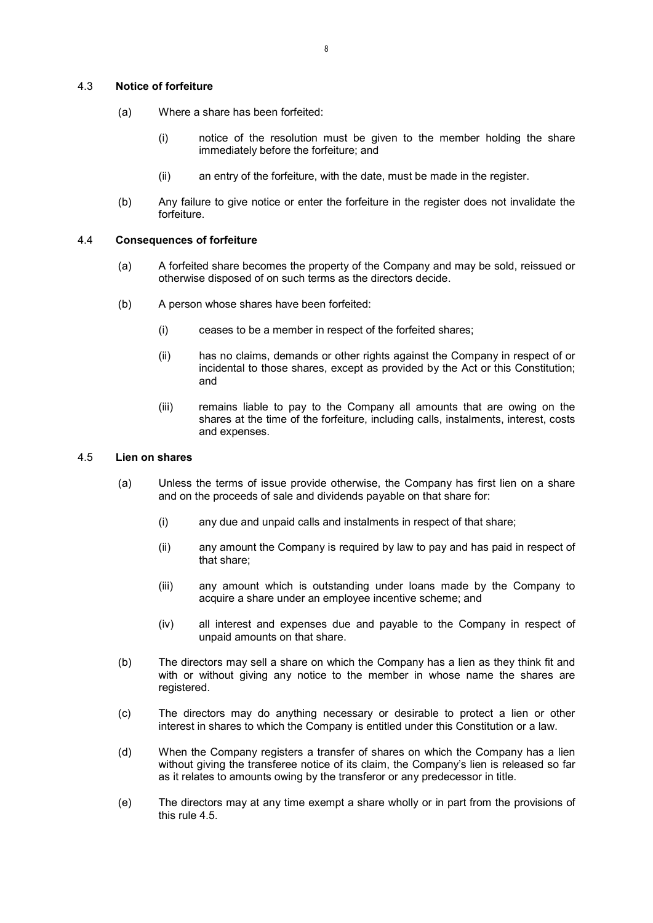## 4.3 Notice of forfeiture

- (a) Where a share has been forfeited:
	- (i) notice of the resolution must be given to the member holding the share immediately before the forfeiture; and
	- (ii) an entry of the forfeiture, with the date, must be made in the register.
- (b) Any failure to give notice or enter the forfeiture in the register does not invalidate the forfeiture.

#### 4.4 Consequences of forfeiture

- (a) A forfeited share becomes the property of the Company and may be sold, reissued or otherwise disposed of on such terms as the directors decide.
- (b) A person whose shares have been forfeited:
	- (i) ceases to be a member in respect of the forfeited shares;
	- (ii) has no claims, demands or other rights against the Company in respect of or incidental to those shares, except as provided by the Act or this Constitution; and
	- (iii) remains liable to pay to the Company all amounts that are owing on the shares at the time of the forfeiture, including calls, instalments, interest, costs and expenses.

## 4.5 Lien on shares

- (a) Unless the terms of issue provide otherwise, the Company has first lien on a share and on the proceeds of sale and dividends payable on that share for:
	- (i) any due and unpaid calls and instalments in respect of that share;
	- (ii) any amount the Company is required by law to pay and has paid in respect of that share;
	- (iii) any amount which is outstanding under loans made by the Company to acquire a share under an employee incentive scheme; and
	- (iv) all interest and expenses due and payable to the Company in respect of unpaid amounts on that share.
- (b) The directors may sell a share on which the Company has a lien as they think fit and with or without giving any notice to the member in whose name the shares are registered.
- (c) The directors may do anything necessary or desirable to protect a lien or other interest in shares to which the Company is entitled under this Constitution or a law.
- (d) When the Company registers a transfer of shares on which the Company has a lien without giving the transferee notice of its claim, the Company's lien is released so far as it relates to amounts owing by the transferor or any predecessor in title.
- (e) The directors may at any time exempt a share wholly or in part from the provisions of this rule 4.5.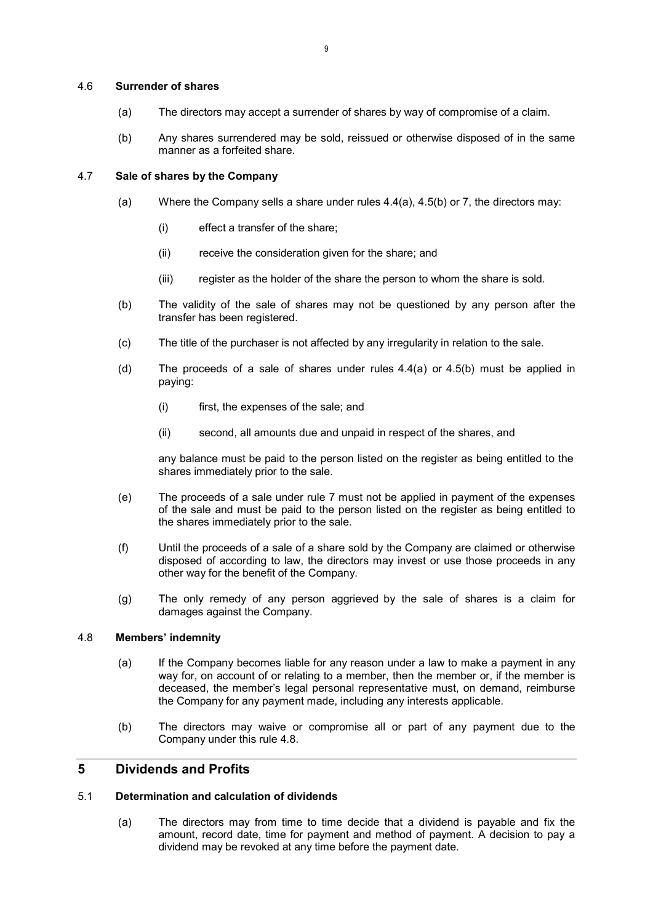## 4.6 Surrender of shares

- (a) The directors may accept a surrender of shares by way of compromise of a claim.
- (b) Any shares surrendered may be sold, reissued or otherwise disposed of in the same manner as a forfeited share.

## 4.7 Sale of shares by the Company

- (a) Where the Company sells a share under rules 4.4(a), 4.5(b) or 7, the directors may:
	- (i) effect a transfer of the share;
	- (ii) receive the consideration given for the share; and
	- (iii) register as the holder of the share the person to whom the share is sold.
- (b) The validity of the sale of shares may not be questioned by any person after the transfer has been registered.
- (c) The title of the purchaser is not affected by any irregularity in relation to the sale.
- (d) The proceeds of a sale of shares under rules 4.4(a) or 4.5(b) must be applied in paying:
	- (i) first, the expenses of the sale; and
	- (ii) second, all amounts due and unpaid in respect of the shares, and

any balance must be paid to the person listed on the register as being entitled to the shares immediately prior to the sale.

- (e) The proceeds of a sale under rule 7 must not be applied in payment of the expenses of the sale and must be paid to the person listed on the register as being entitled to the shares immediately prior to the sale.
- (f) Until the proceeds of a sale of a share sold by the Company are claimed or otherwise disposed of according to law, the directors may invest or use those proceeds in any other way for the benefit of the Company.
- (g) The only remedy of any person aggrieved by the sale of shares is a claim for damages against the Company.

## 4.8 Members' indemnity

- (a) If the Company becomes liable for any reason under a law to make a payment in any way for, on account of or relating to a member, then the member or, if the member is deceased, the member's legal personal representative must, on demand, reimburse the Company for any payment made, including any interests applicable.
- (b) The directors may waive or compromise all or part of any payment due to the Company under this rule 4.8.

## 5 Dividends and Profits

## 5.1 Determination and calculation of dividends

(a) The directors may from time to time decide that a dividend is payable and fix the amount, record date, time for payment and method of payment. A decision to pay a dividend may be revoked at any time before the payment date.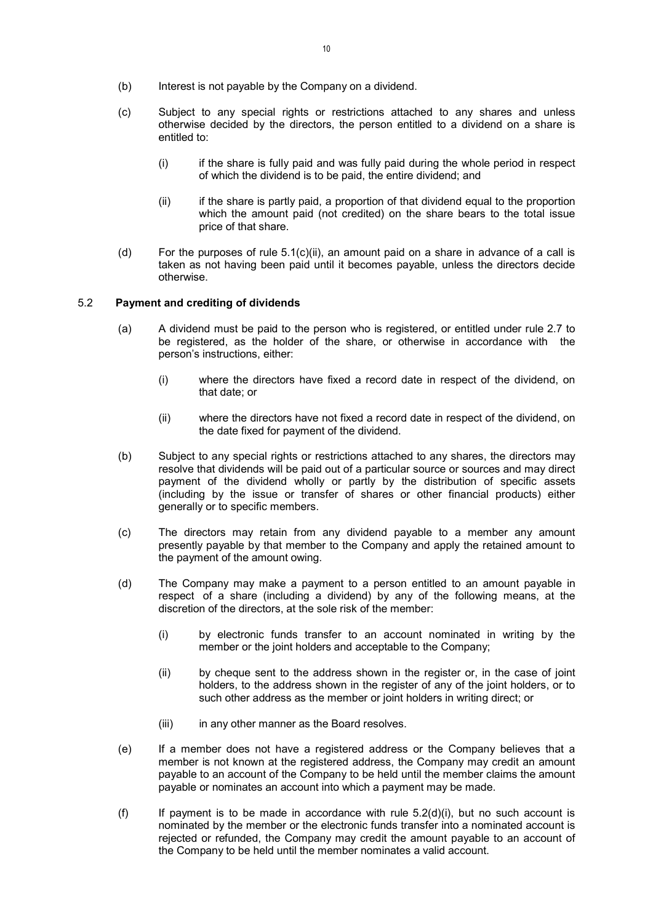- (b) Interest is not payable by the Company on a dividend.
- (c) Subject to any special rights or restrictions attached to any shares and unless otherwise decided by the directors, the person entitled to a dividend on a share is entitled to:
	- $(i)$  if the share is fully paid and was fully paid during the whole period in respect of which the dividend is to be paid, the entire dividend; and
	- (ii) if the share is partly paid, a proportion of that dividend equal to the proportion which the amount paid (not credited) on the share bears to the total issue price of that share.
- (d) For the purposes of rule  $5.1(c)(ii)$ , an amount paid on a share in advance of a call is taken as not having been paid until it becomes payable, unless the directors decide otherwise.

## 5.2 Payment and crediting of dividends

- (a) A dividend must be paid to the person who is registered, or entitled under rule 2.7 to be registered, as the holder of the share, or otherwise in accordance with the person's instructions, either:
	- (i) where the directors have fixed a record date in respect of the dividend, on that date; or
	- (ii) where the directors have not fixed a record date in respect of the dividend, on the date fixed for payment of the dividend.
- (b) Subject to any special rights or restrictions attached to any shares, the directors may resolve that dividends will be paid out of a particular source or sources and may direct payment of the dividend wholly or partly by the distribution of specific assets (including by the issue or transfer of shares or other financial products) either generally or to specific members.
- (c) The directors may retain from any dividend payable to a member any amount presently payable by that member to the Company and apply the retained amount to the payment of the amount owing.
- (d) The Company may make a payment to a person entitled to an amount payable in respect of a share (including a dividend) by any of the following means, at the discretion of the directors, at the sole risk of the member:
	- (i) by electronic funds transfer to an account nominated in writing by the member or the joint holders and acceptable to the Company;
	- (ii) by cheque sent to the address shown in the register or, in the case of joint holders, to the address shown in the register of any of the joint holders, or to such other address as the member or joint holders in writing direct; or
	- (iii) in any other manner as the Board resolves.
- (e) If a member does not have a registered address or the Company believes that a member is not known at the registered address, the Company may credit an amount payable to an account of the Company to be held until the member claims the amount payable or nominates an account into which a payment may be made.
- (f) If payment is to be made in accordance with rule  $5.2(d)(i)$ , but no such account is nominated by the member or the electronic funds transfer into a nominated account is rejected or refunded, the Company may credit the amount payable to an account of the Company to be held until the member nominates a valid account.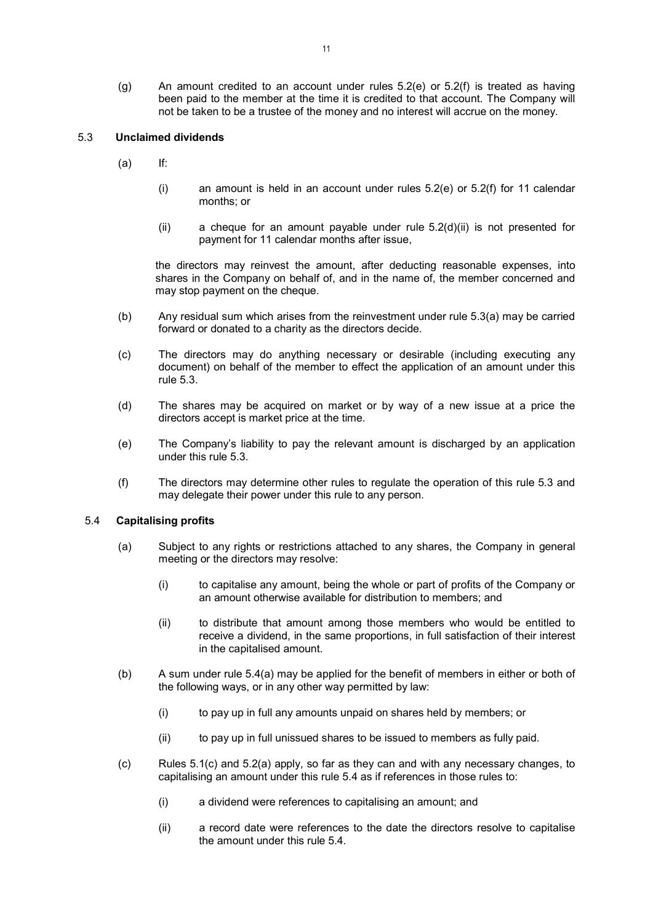(g) An amount credited to an account under rules 5.2(e) or 5.2(f) is treated as having been paid to the member at the time it is credited to that account. The Company will not be taken to be a trustee of the money and no interest will accrue on the money.

## 5.3 Unclaimed dividends

- $(a)$  If:
	- (i) an amount is held in an account under rules  $5.2(e)$  or  $5.2(f)$  for 11 calendar months; or
	- $(ii)$  a cheque for an amount payable under rule  $5.2(d)(ii)$  is not presented for payment for 11 calendar months after issue,

the directors may reinvest the amount, after deducting reasonable expenses, into shares in the Company on behalf of, and in the name of, the member concerned and may stop payment on the cheque.

- (b) Any residual sum which arises from the reinvestment under rule 5.3(a) may be carried forward or donated to a charity as the directors decide.
- (c) The directors may do anything necessary or desirable (including executing any document) on behalf of the member to effect the application of an amount under this rule 5.3.
- (d) The shares may be acquired on market or by way of a new issue at a price the directors accept is market price at the time.
- (e) The Company's liability to pay the relevant amount is discharged by an application under this rule 5.3.
- (f) The directors may determine other rules to regulate the operation of this rule 5.3 and may delegate their power under this rule to any person.

## 5.4 Capitalising profits

- (a) Subject to any rights or restrictions attached to any shares, the Company in general meeting or the directors may resolve:
	- (i) to capitalise any amount, being the whole or part of profits of the Company or an amount otherwise available for distribution to members; and
	- (ii) to distribute that amount among those members who would be entitled to receive a dividend, in the same proportions, in full satisfaction of their interest in the capitalised amount.
- (b) A sum under rule 5.4(a) may be applied for the benefit of members in either or both of the following ways, or in any other way permitted by law:
	- (i) to pay up in full any amounts unpaid on shares held by members; or
	- (ii) to pay up in full unissued shares to be issued to members as fully paid.
- (c) Rules 5.1(c) and 5.2(a) apply, so far as they can and with any necessary changes, to capitalising an amount under this rule 5.4 as if references in those rules to:
	- (i) a dividend were references to capitalising an amount; and
	- (ii) a record date were references to the date the directors resolve to capitalise the amount under this rule 5.4.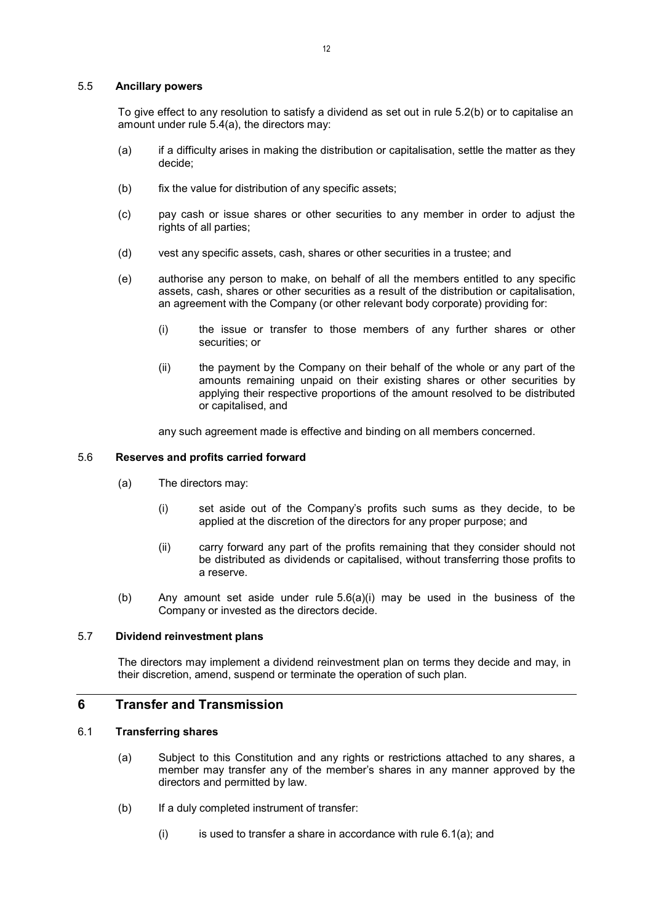#### 5.5 Ancillary powers

To give effect to any resolution to satisfy a dividend as set out in rule 5.2(b) or to capitalise an amount under rule 5.4(a), the directors may:

- (a) if a difficulty arises in making the distribution or capitalisation, settle the matter as they decide;
- (b) fix the value for distribution of any specific assets;
- (c) pay cash or issue shares or other securities to any member in order to adjust the rights of all parties;
- (d) vest any specific assets, cash, shares or other securities in a trustee; and
- (e) authorise any person to make, on behalf of all the members entitled to any specific assets, cash, shares or other securities as a result of the distribution or capitalisation, an agreement with the Company (or other relevant body corporate) providing for:
	- (i) the issue or transfer to those members of any further shares or other securities; or
	- (ii) the payment by the Company on their behalf of the whole or any part of the amounts remaining unpaid on their existing shares or other securities by applying their respective proportions of the amount resolved to be distributed or capitalised, and

any such agreement made is effective and binding on all members concerned.

#### 5.6 Reserves and profits carried forward

- (a) The directors may:
	- (i) set aside out of the Company's profits such sums as they decide, to be applied at the discretion of the directors for any proper purpose; and
	- (ii) carry forward any part of the profits remaining that they consider should not be distributed as dividends or capitalised, without transferring those profits to a reserve.
- (b) Any amount set aside under rule 5.6(a)(i) may be used in the business of the Company or invested as the directors decide.

#### 5.7 Dividend reinvestment plans

The directors may implement a dividend reinvestment plan on terms they decide and may, in their discretion, amend, suspend or terminate the operation of such plan.

## 6 Transfer and Transmission

## 6.1 Transferring shares

- (a) Subject to this Constitution and any rights or restrictions attached to any shares, a member may transfer any of the member's shares in any manner approved by the directors and permitted by law.
- (b) If a duly completed instrument of transfer:
	- $(i)$  is used to transfer a share in accordance with rule 6.1(a); and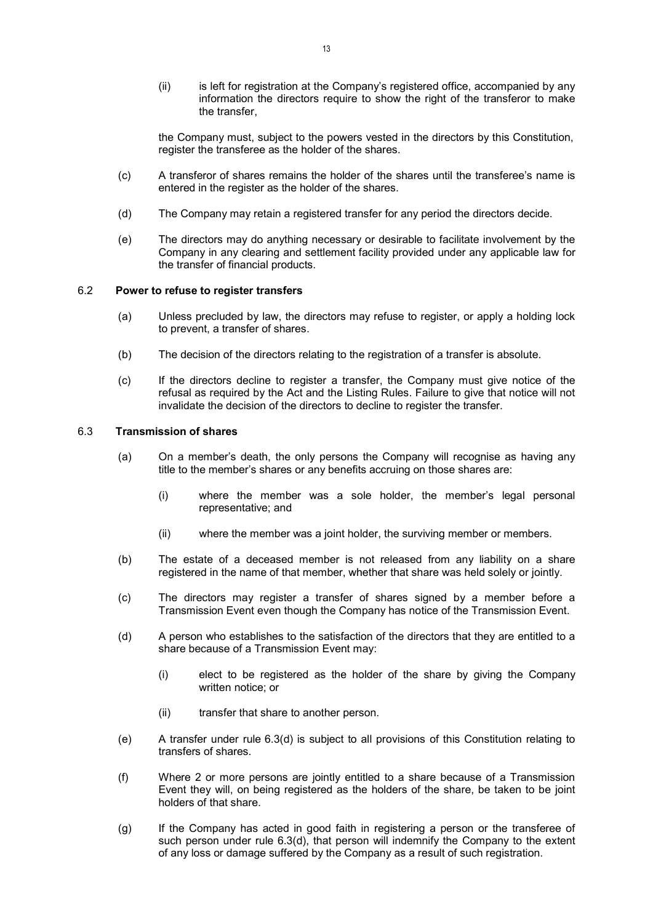(ii) is left for registration at the Company's registered office, accompanied by any information the directors require to show the right of the transferor to make the transfer,

the Company must, subject to the powers vested in the directors by this Constitution, register the transferee as the holder of the shares.

- (c) A transferor of shares remains the holder of the shares until the transferee's name is entered in the register as the holder of the shares.
- (d) The Company may retain a registered transfer for any period the directors decide.
- (e) The directors may do anything necessary or desirable to facilitate involvement by the Company in any clearing and settlement facility provided under any applicable law for the transfer of financial products.

## 6.2 Power to refuse to register transfers

- (a) Unless precluded by law, the directors may refuse to register, or apply a holding lock to prevent, a transfer of shares.
- (b) The decision of the directors relating to the registration of a transfer is absolute.
- (c) If the directors decline to register a transfer, the Company must give notice of the refusal as required by the Act and the Listing Rules. Failure to give that notice will not invalidate the decision of the directors to decline to register the transfer.

#### 6.3 Transmission of shares

- (a) On a member's death, the only persons the Company will recognise as having any title to the member's shares or any benefits accruing on those shares are:
	- (i) where the member was a sole holder, the member's legal personal representative; and
	- (ii) where the member was a joint holder, the surviving member or members.
- (b) The estate of a deceased member is not released from any liability on a share registered in the name of that member, whether that share was held solely or jointly.
- (c) The directors may register a transfer of shares signed by a member before a Transmission Event even though the Company has notice of the Transmission Event.
- (d) A person who establishes to the satisfaction of the directors that they are entitled to a share because of a Transmission Event may:
	- (i) elect to be registered as the holder of the share by giving the Company written notice; or
	- (ii) transfer that share to another person.
- (e) A transfer under rule 6.3(d) is subject to all provisions of this Constitution relating to transfers of shares.
- (f) Where 2 or more persons are jointly entitled to a share because of a Transmission Event they will, on being registered as the holders of the share, be taken to be joint holders of that share.
- (g) If the Company has acted in good faith in registering a person or the transferee of such person under rule 6.3(d), that person will indemnify the Company to the extent of any loss or damage suffered by the Company as a result of such registration.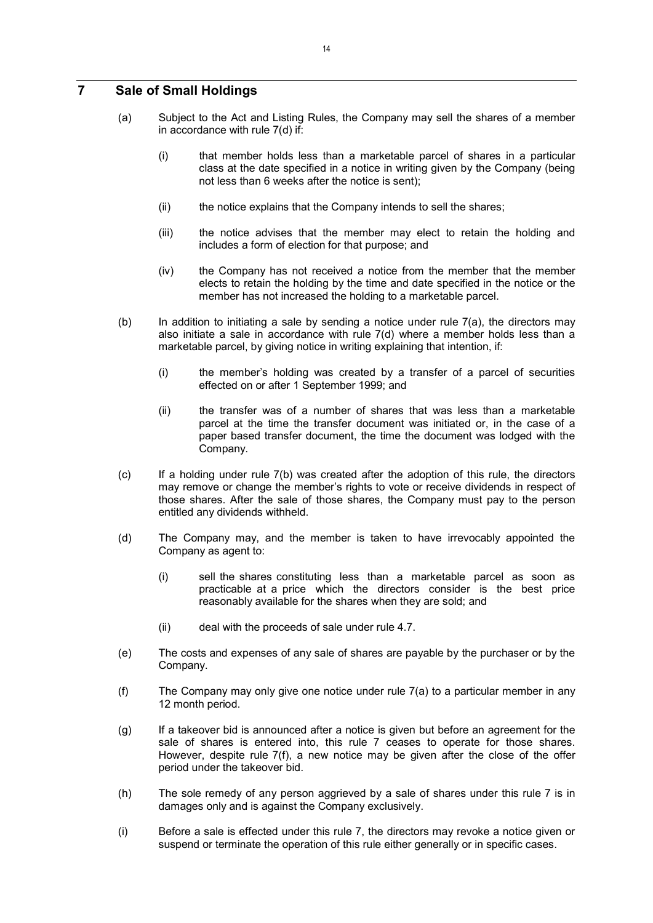## 7 Sale of Small Holdings

- (a) Subject to the Act and Listing Rules, the Company may sell the shares of a member in accordance with rule 7(d) if:
	- (i) that member holds less than a marketable parcel of shares in a particular class at the date specified in a notice in writing given by the Company (being not less than 6 weeks after the notice is sent);
	- (ii) the notice explains that the Company intends to sell the shares;
	- (iii) the notice advises that the member may elect to retain the holding and includes a form of election for that purpose; and
	- (iv) the Company has not received a notice from the member that the member elects to retain the holding by the time and date specified in the notice or the member has not increased the holding to a marketable parcel.
- (b) In addition to initiating a sale by sending a notice under rule  $7(a)$ , the directors may also initiate a sale in accordance with rule 7(d) where a member holds less than a marketable parcel, by giving notice in writing explaining that intention, if:
	- (i) the member's holding was created by a transfer of a parcel of securities effected on or after 1 September 1999; and
	- (ii) the transfer was of a number of shares that was less than a marketable parcel at the time the transfer document was initiated or, in the case of a paper based transfer document, the time the document was lodged with the Company.
- (c) If a holding under rule 7(b) was created after the adoption of this rule, the directors may remove or change the member's rights to vote or receive dividends in respect of those shares. After the sale of those shares, the Company must pay to the person entitled any dividends withheld.
- (d) The Company may, and the member is taken to have irrevocably appointed the Company as agent to:
	- (i) sell the shares constituting less than a marketable parcel as soon as practicable at a price which the directors consider is the best price reasonably available for the shares when they are sold; and
	- (ii) deal with the proceeds of sale under rule 4.7.
- (e) The costs and expenses of any sale of shares are payable by the purchaser or by the Company.
- (f) The Company may only give one notice under rule 7(a) to a particular member in any 12 month period.
- (g) If a takeover bid is announced after a notice is given but before an agreement for the sale of shares is entered into, this rule 7 ceases to operate for those shares. However, despite rule 7(f), a new notice may be given after the close of the offer period under the takeover bid.
- (h) The sole remedy of any person aggrieved by a sale of shares under this rule 7 is in damages only and is against the Company exclusively.
- (i) Before a sale is effected under this rule 7, the directors may revoke a notice given or suspend or terminate the operation of this rule either generally or in specific cases.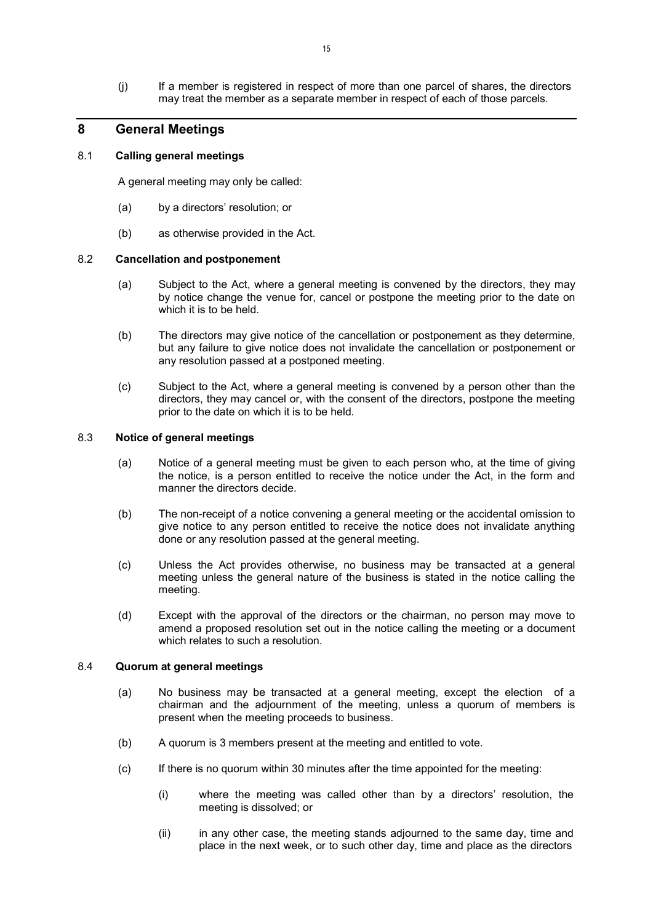(j) If a member is registered in respect of more than one parcel of shares, the directors may treat the member as a separate member in respect of each of those parcels.

## 8 General Meetings

#### 8.1 Calling general meetings

A general meeting may only be called:

- (a) by a directors' resolution; or
- (b) as otherwise provided in the Act.

## 8.2 Cancellation and postponement

- (a) Subject to the Act, where a general meeting is convened by the directors, they may by notice change the venue for, cancel or postpone the meeting prior to the date on which it is to be held.
- (b) The directors may give notice of the cancellation or postponement as they determine, but any failure to give notice does not invalidate the cancellation or postponement or any resolution passed at a postponed meeting.
- (c) Subject to the Act, where a general meeting is convened by a person other than the directors, they may cancel or, with the consent of the directors, postpone the meeting prior to the date on which it is to be held.

## 8.3 Notice of general meetings

- (a) Notice of a general meeting must be given to each person who, at the time of giving the notice, is a person entitled to receive the notice under the Act, in the form and manner the directors decide.
- (b) The non-receipt of a notice convening a general meeting or the accidental omission to give notice to any person entitled to receive the notice does not invalidate anything done or any resolution passed at the general meeting.
- (c) Unless the Act provides otherwise, no business may be transacted at a general meeting unless the general nature of the business is stated in the notice calling the meeting.
- (d) Except with the approval of the directors or the chairman, no person may move to amend a proposed resolution set out in the notice calling the meeting or a document which relates to such a resolution.

#### 8.4 Quorum at general meetings

- (a) No business may be transacted at a general meeting, except the election of a chairman and the adjournment of the meeting, unless a quorum of members is present when the meeting proceeds to business.
- (b) A quorum is 3 members present at the meeting and entitled to vote.
- (c) If there is no quorum within 30 minutes after the time appointed for the meeting:
	- (i) where the meeting was called other than by a directors' resolution, the meeting is dissolved; or
	- (ii) in any other case, the meeting stands adjourned to the same day, time and place in the next week, or to such other day, time and place as the directors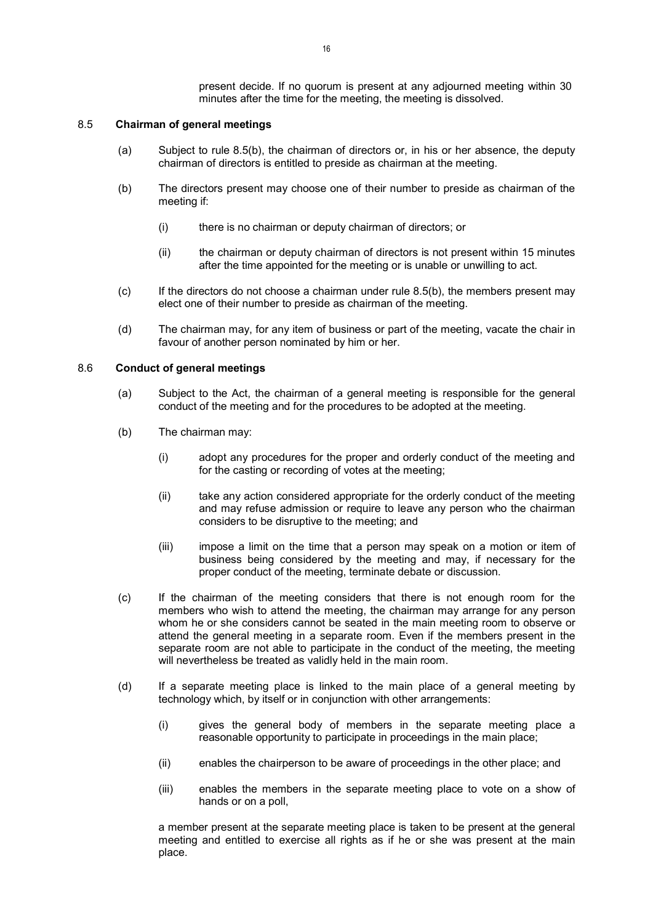present decide. If no quorum is present at any adjourned meeting within 30 minutes after the time for the meeting, the meeting is dissolved.

#### 8.5 Chairman of general meetings

- (a) Subject to rule 8.5(b), the chairman of directors or, in his or her absence, the deputy chairman of directors is entitled to preside as chairman at the meeting.
- (b) The directors present may choose one of their number to preside as chairman of the meeting if:
	- (i) there is no chairman or deputy chairman of directors; or
	- (ii) the chairman or deputy chairman of directors is not present within 15 minutes after the time appointed for the meeting or is unable or unwilling to act.
- (c) If the directors do not choose a chairman under rule 8.5(b), the members present may elect one of their number to preside as chairman of the meeting.
- (d) The chairman may, for any item of business or part of the meeting, vacate the chair in favour of another person nominated by him or her.

## 8.6 Conduct of general meetings

- (a) Subject to the Act, the chairman of a general meeting is responsible for the general conduct of the meeting and for the procedures to be adopted at the meeting.
- (b) The chairman may:
	- (i) adopt any procedures for the proper and orderly conduct of the meeting and for the casting or recording of votes at the meeting;
	- (ii) take any action considered appropriate for the orderly conduct of the meeting and may refuse admission or require to leave any person who the chairman considers to be disruptive to the meeting; and
	- (iii) impose a limit on the time that a person may speak on a motion or item of business being considered by the meeting and may, if necessary for the proper conduct of the meeting, terminate debate or discussion.
- (c) If the chairman of the meeting considers that there is not enough room for the members who wish to attend the meeting, the chairman may arrange for any person whom he or she considers cannot be seated in the main meeting room to observe or attend the general meeting in a separate room. Even if the members present in the separate room are not able to participate in the conduct of the meeting, the meeting will nevertheless be treated as validly held in the main room.
- (d) If a separate meeting place is linked to the main place of a general meeting by technology which, by itself or in conjunction with other arrangements:
	- (i) gives the general body of members in the separate meeting place a reasonable opportunity to participate in proceedings in the main place;
	- (ii) enables the chairperson to be aware of proceedings in the other place; and
	- (iii) enables the members in the separate meeting place to vote on a show of hands or on a poll,

a member present at the separate meeting place is taken to be present at the general meeting and entitled to exercise all rights as if he or she was present at the main place.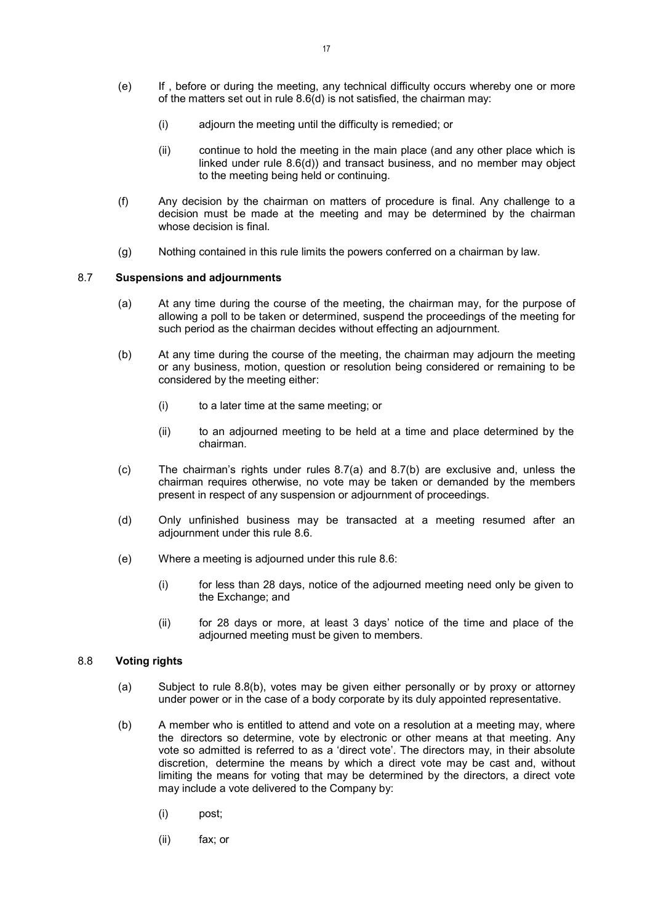- (e) If , before or during the meeting, any technical difficulty occurs whereby one or more of the matters set out in rule 8.6(d) is not satisfied, the chairman may:
	- (i) adjourn the meeting until the difficulty is remedied; or
	- (ii) continue to hold the meeting in the main place (and any other place which is linked under rule 8.6(d)) and transact business, and no member may object to the meeting being held or continuing.
- (f) Any decision by the chairman on matters of procedure is final. Any challenge to a decision must be made at the meeting and may be determined by the chairman whose decision is final.
- (g) Nothing contained in this rule limits the powers conferred on a chairman by law.

#### 8.7 Suspensions and adjournments

- (a) At any time during the course of the meeting, the chairman may, for the purpose of allowing a poll to be taken or determined, suspend the proceedings of the meeting for such period as the chairman decides without effecting an adjournment.
- (b) At any time during the course of the meeting, the chairman may adjourn the meeting or any business, motion, question or resolution being considered or remaining to be considered by the meeting either:
	- (i) to a later time at the same meeting; or
	- (ii) to an adjourned meeting to be held at a time and place determined by the chairman.
- (c) The chairman's rights under rules 8.7(a) and 8.7(b) are exclusive and, unless the chairman requires otherwise, no vote may be taken or demanded by the members present in respect of any suspension or adjournment of proceedings.
- (d) Only unfinished business may be transacted at a meeting resumed after an adjournment under this rule 8.6.
- (e) Where a meeting is adjourned under this rule 8.6:
	- (i) for less than 28 days, notice of the adjourned meeting need only be given to the Exchange; and
	- (ii) for 28 days or more, at least 3 days' notice of the time and place of the adjourned meeting must be given to members.

#### 8.8 Voting rights

- (a) Subject to rule 8.8(b), votes may be given either personally or by proxy or attorney under power or in the case of a body corporate by its duly appointed representative.
- (b) A member who is entitled to attend and vote on a resolution at a meeting may, where the directors so determine, vote by electronic or other means at that meeting. Any vote so admitted is referred to as a 'direct vote'. The directors may, in their absolute discretion, determine the means by which a direct vote may be cast and, without limiting the means for voting that may be determined by the directors, a direct vote may include a vote delivered to the Company by:
	- (i) post;
	- (ii) fax; or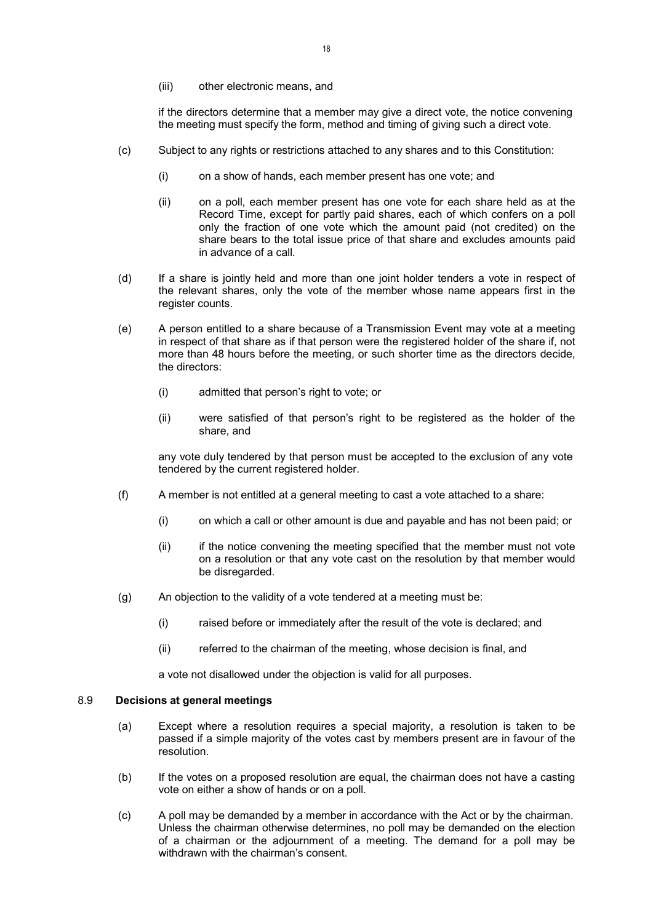(iii) other electronic means, and

if the directors determine that a member may give a direct vote, the notice convening the meeting must specify the form, method and timing of giving such a direct vote.

- (c) Subject to any rights or restrictions attached to any shares and to this Constitution:
	- (i) on a show of hands, each member present has one vote; and
	- (ii) on a poll, each member present has one vote for each share held as at the Record Time, except for partly paid shares, each of which confers on a poll only the fraction of one vote which the amount paid (not credited) on the share bears to the total issue price of that share and excludes amounts paid in advance of a call.
- (d) If a share is jointly held and more than one joint holder tenders a vote in respect of the relevant shares, only the vote of the member whose name appears first in the register counts.
- (e) A person entitled to a share because of a Transmission Event may vote at a meeting in respect of that share as if that person were the registered holder of the share if, not more than 48 hours before the meeting, or such shorter time as the directors decide, the directors:
	- (i) admitted that person's right to vote; or
	- (ii) were satisfied of that person's right to be registered as the holder of the share, and

any vote duly tendered by that person must be accepted to the exclusion of any vote tendered by the current registered holder.

- (f) A member is not entitled at a general meeting to cast a vote attached to a share:
	- (i) on which a call or other amount is due and payable and has not been paid; or
	- (ii) if the notice convening the meeting specified that the member must not vote on a resolution or that any vote cast on the resolution by that member would be disregarded.
- (g) An objection to the validity of a vote tendered at a meeting must be:
	- (i) raised before or immediately after the result of the vote is declared; and
	- (ii) referred to the chairman of the meeting, whose decision is final, and

a vote not disallowed under the objection is valid for all purposes.

## 8.9 Decisions at general meetings

- (a) Except where a resolution requires a special majority, a resolution is taken to be passed if a simple majority of the votes cast by members present are in favour of the resolution.
- (b) If the votes on a proposed resolution are equal, the chairman does not have a casting vote on either a show of hands or on a poll.
- (c) A poll may be demanded by a member in accordance with the Act or by the chairman. Unless the chairman otherwise determines, no poll may be demanded on the election of a chairman or the adjournment of a meeting. The demand for a poll may be withdrawn with the chairman's consent.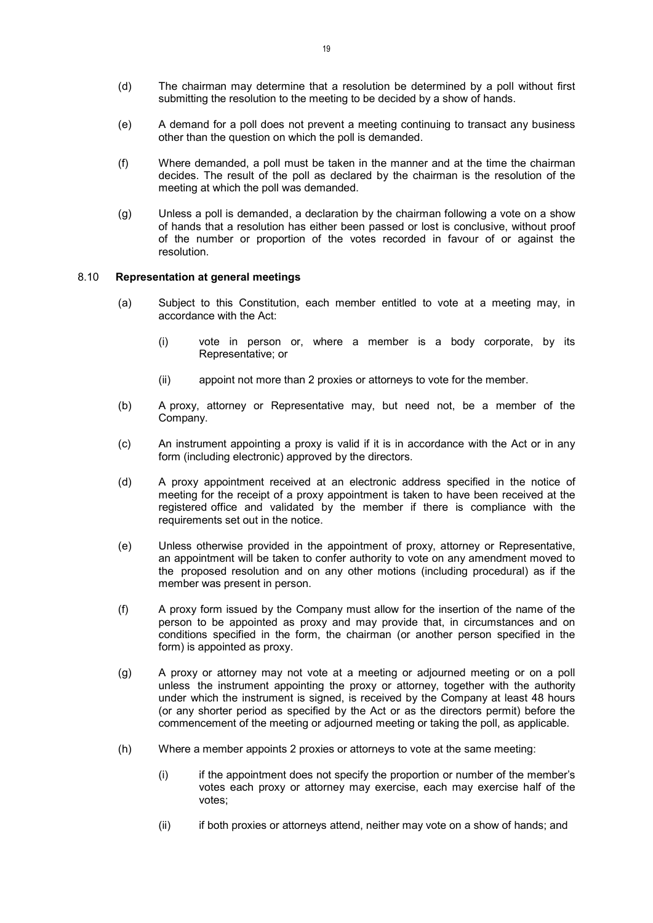- (d) The chairman may determine that a resolution be determined by a poll without first submitting the resolution to the meeting to be decided by a show of hands.
- (e) A demand for a poll does not prevent a meeting continuing to transact any business other than the question on which the poll is demanded.
- (f) Where demanded, a poll must be taken in the manner and at the time the chairman decides. The result of the poll as declared by the chairman is the resolution of the meeting at which the poll was demanded.
- (g) Unless a poll is demanded, a declaration by the chairman following a vote on a show of hands that a resolution has either been passed or lost is conclusive, without proof of the number or proportion of the votes recorded in favour of or against the resolution.

#### 8.10 Representation at general meetings

- (a) Subject to this Constitution, each member entitled to vote at a meeting may, in accordance with the Act:
	- (i) vote in person or, where a member is a body corporate, by its Representative; or
	- (ii) appoint not more than 2 proxies or attorneys to vote for the member.
- (b) A proxy, attorney or Representative may, but need not, be a member of the Company.
- (c) An instrument appointing a proxy is valid if it is in accordance with the Act or in any form (including electronic) approved by the directors.
- (d) A proxy appointment received at an electronic address specified in the notice of meeting for the receipt of a proxy appointment is taken to have been received at the registered office and validated by the member if there is compliance with the requirements set out in the notice.
- (e) Unless otherwise provided in the appointment of proxy, attorney or Representative, an appointment will be taken to confer authority to vote on any amendment moved to the proposed resolution and on any other motions (including procedural) as if the member was present in person.
- (f) A proxy form issued by the Company must allow for the insertion of the name of the person to be appointed as proxy and may provide that, in circumstances and on conditions specified in the form, the chairman (or another person specified in the form) is appointed as proxy.
- (g) A proxy or attorney may not vote at a meeting or adjourned meeting or on a poll unless the instrument appointing the proxy or attorney, together with the authority under which the instrument is signed, is received by the Company at least 48 hours (or any shorter period as specified by the Act or as the directors permit) before the commencement of the meeting or adjourned meeting or taking the poll, as applicable.
- (h) Where a member appoints 2 proxies or attorneys to vote at the same meeting:
	- (i) if the appointment does not specify the proportion or number of the member's votes each proxy or attorney may exercise, each may exercise half of the votes;
	- (ii) if both proxies or attorneys attend, neither may vote on a show of hands; and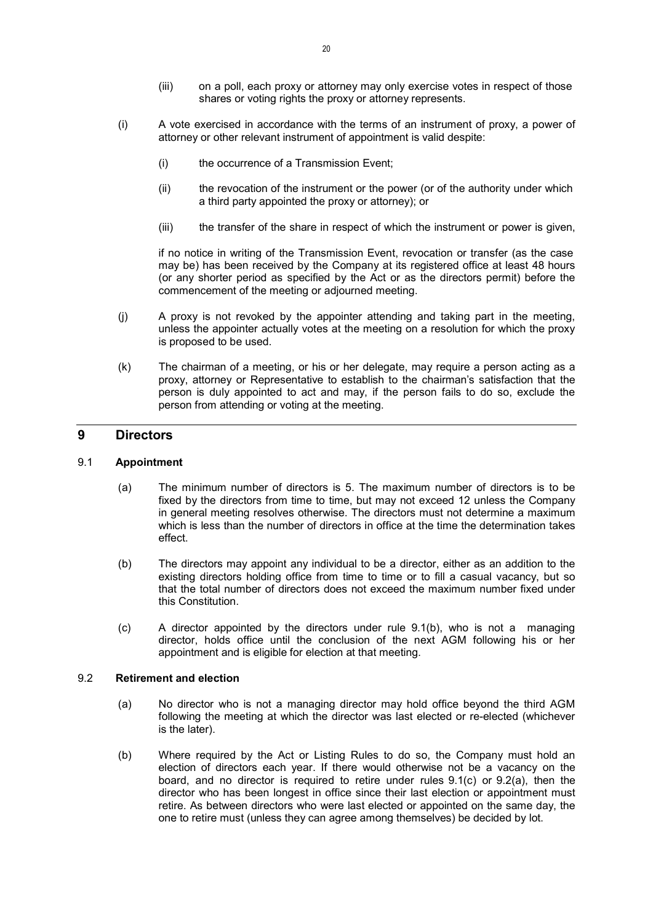- (iii) on a poll, each proxy or attorney may only exercise votes in respect of those shares or voting rights the proxy or attorney represents.
- (i) A vote exercised in accordance with the terms of an instrument of proxy, a power of attorney or other relevant instrument of appointment is valid despite:
	- (i) the occurrence of a Transmission Event;
	- (ii) the revocation of the instrument or the power (or of the authority under which a third party appointed the proxy or attorney); or
	- (iii) the transfer of the share in respect of which the instrument or power is given,

if no notice in writing of the Transmission Event, revocation or transfer (as the case may be) has been received by the Company at its registered office at least 48 hours (or any shorter period as specified by the Act or as the directors permit) before the commencement of the meeting or adjourned meeting.

- (j) A proxy is not revoked by the appointer attending and taking part in the meeting, unless the appointer actually votes at the meeting on a resolution for which the proxy is proposed to be used.
- (k) The chairman of a meeting, or his or her delegate, may require a person acting as a proxy, attorney or Representative to establish to the chairman's satisfaction that the person is duly appointed to act and may, if the person fails to do so, exclude the person from attending or voting at the meeting.

## 9 Directors

## 9.1 Appointment

- (a) The minimum number of directors is 5. The maximum number of directors is to be fixed by the directors from time to time, but may not exceed 12 unless the Company in general meeting resolves otherwise. The directors must not determine a maximum which is less than the number of directors in office at the time the determination takes effect.
- (b) The directors may appoint any individual to be a director, either as an addition to the existing directors holding office from time to time or to fill a casual vacancy, but so that the total number of directors does not exceed the maximum number fixed under this Constitution.
- (c) A director appointed by the directors under rule 9.1(b), who is not a managing director, holds office until the conclusion of the next AGM following his or her appointment and is eligible for election at that meeting.

## 9.2 Retirement and election

- (a) No director who is not a managing director may hold office beyond the third AGM following the meeting at which the director was last elected or re-elected (whichever is the later).
- (b) Where required by the Act or Listing Rules to do so, the Company must hold an election of directors each year. If there would otherwise not be a vacancy on the board, and no director is required to retire under rules 9.1(c) or 9.2(a), then the director who has been longest in office since their last election or appointment must retire. As between directors who were last elected or appointed on the same day, the one to retire must (unless they can agree among themselves) be decided by lot.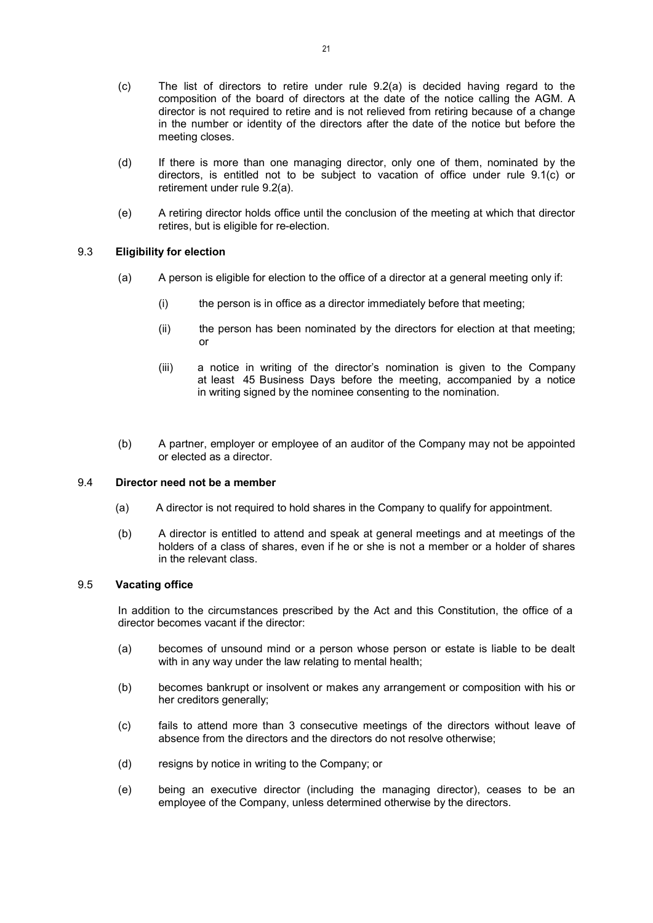- (c) The list of directors to retire under rule 9.2(a) is decided having regard to the composition of the board of directors at the date of the notice calling the AGM. A director is not required to retire and is not relieved from retiring because of a change in the number or identity of the directors after the date of the notice but before the meeting closes.
- (d) If there is more than one managing director, only one of them, nominated by the directors, is entitled not to be subject to vacation of office under rule 9.1(c) or retirement under rule 9.2(a).
- (e) A retiring director holds office until the conclusion of the meeting at which that director retires, but is eligible for re-election.

## 9.3 Eligibility for election

- (a) A person is eligible for election to the office of a director at a general meeting only if:
	- (i) the person is in office as a director immediately before that meeting;
	- (ii) the person has been nominated by the directors for election at that meeting; or
	- (iii) a notice in writing of the director's nomination is given to the Company at least 45 Business Days before the meeting, accompanied by a notice in writing signed by the nominee consenting to the nomination.
- (b) A partner, employer or employee of an auditor of the Company may not be appointed or elected as a director.

## 9.4 Director need not be a member

- (a) A director is not required to hold shares in the Company to qualify for appointment.
- (b) A director is entitled to attend and speak at general meetings and at meetings of the holders of a class of shares, even if he or she is not a member or a holder of shares in the relevant class.

## 9.5 Vacating office

In addition to the circumstances prescribed by the Act and this Constitution, the office of a director becomes vacant if the director:

- (a) becomes of unsound mind or a person whose person or estate is liable to be dealt with in any way under the law relating to mental health;
- (b) becomes bankrupt or insolvent or makes any arrangement or composition with his or her creditors generally;
- (c) fails to attend more than 3 consecutive meetings of the directors without leave of absence from the directors and the directors do not resolve otherwise;
- (d) resigns by notice in writing to the Company; or
- (e) being an executive director (including the managing director), ceases to be an employee of the Company, unless determined otherwise by the directors.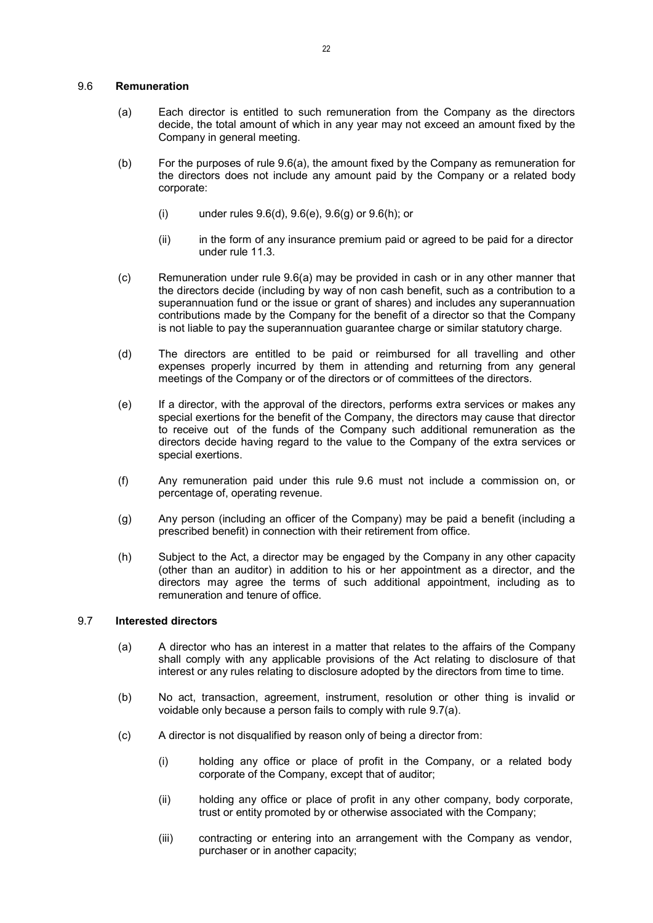#### 9.6 Remuneration

- (a) Each director is entitled to such remuneration from the Company as the directors decide, the total amount of which in any year may not exceed an amount fixed by the Company in general meeting.
- (b) For the purposes of rule 9.6(a), the amount fixed by the Company as remuneration for the directors does not include any amount paid by the Company or a related body corporate:
	- (i) under rules 9.6(d), 9.6(e), 9.6(g) or 9.6(h); or
	- (ii) in the form of any insurance premium paid or agreed to be paid for a director under rule 11.3.
- (c) Remuneration under rule 9.6(a) may be provided in cash or in any other manner that the directors decide (including by way of non cash benefit, such as a contribution to a superannuation fund or the issue or grant of shares) and includes any superannuation contributions made by the Company for the benefit of a director so that the Company is not liable to pay the superannuation guarantee charge or similar statutory charge.
- (d) The directors are entitled to be paid or reimbursed for all travelling and other expenses properly incurred by them in attending and returning from any general meetings of the Company or of the directors or of committees of the directors.
- (e) If a director, with the approval of the directors, performs extra services or makes any special exertions for the benefit of the Company, the directors may cause that director to receive out of the funds of the Company such additional remuneration as the directors decide having regard to the value to the Company of the extra services or special exertions.
- (f) Any remuneration paid under this rule 9.6 must not include a commission on, or percentage of, operating revenue.
- (g) Any person (including an officer of the Company) may be paid a benefit (including a prescribed benefit) in connection with their retirement from office.
- (h) Subject to the Act, a director may be engaged by the Company in any other capacity (other than an auditor) in addition to his or her appointment as a director, and the directors may agree the terms of such additional appointment, including as to remuneration and tenure of office.

## 9.7 Interested directors

- (a) A director who has an interest in a matter that relates to the affairs of the Company shall comply with any applicable provisions of the Act relating to disclosure of that interest or any rules relating to disclosure adopted by the directors from time to time.
- (b) No act, transaction, agreement, instrument, resolution or other thing is invalid or voidable only because a person fails to comply with rule 9.7(a).
- (c) A director is not disqualified by reason only of being a director from:
	- (i) holding any office or place of profit in the Company, or a related body corporate of the Company, except that of auditor;
	- (ii) holding any office or place of profit in any other company, body corporate, trust or entity promoted by or otherwise associated with the Company;
	- (iii) contracting or entering into an arrangement with the Company as vendor, purchaser or in another capacity;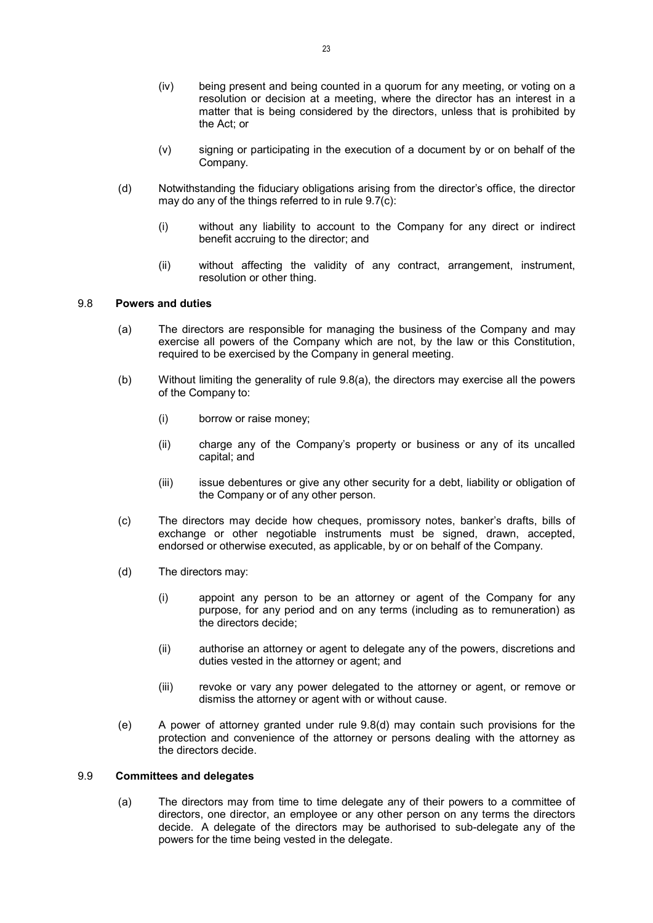- (iv) being present and being counted in a quorum for any meeting, or voting on a resolution or decision at a meeting, where the director has an interest in a matter that is being considered by the directors, unless that is prohibited by the Act; or
- (v) signing or participating in the execution of a document by or on behalf of the Company.
- (d) Notwithstanding the fiduciary obligations arising from the director's office, the director may do any of the things referred to in rule 9.7(c):
	- (i) without any liability to account to the Company for any direct or indirect benefit accruing to the director; and
	- (ii) without affecting the validity of any contract, arrangement, instrument, resolution or other thing.

## 9.8 Powers and duties

- (a) The directors are responsible for managing the business of the Company and may exercise all powers of the Company which are not, by the law or this Constitution, required to be exercised by the Company in general meeting.
- (b) Without limiting the generality of rule 9.8(a), the directors may exercise all the powers of the Company to:
	- (i) borrow or raise money;
	- (ii) charge any of the Company's property or business or any of its uncalled capital; and
	- (iii) issue debentures or give any other security for a debt, liability or obligation of the Company or of any other person.
- (c) The directors may decide how cheques, promissory notes, banker's drafts, bills of exchange or other negotiable instruments must be signed, drawn, accepted, endorsed or otherwise executed, as applicable, by or on behalf of the Company.
- (d) The directors may:
	- (i) appoint any person to be an attorney or agent of the Company for any purpose, for any period and on any terms (including as to remuneration) as the directors decide;
	- (ii) authorise an attorney or agent to delegate any of the powers, discretions and duties vested in the attorney or agent; and
	- (iii) revoke or vary any power delegated to the attorney or agent, or remove or dismiss the attorney or agent with or without cause.
- (e) A power of attorney granted under rule 9.8(d) may contain such provisions for the protection and convenience of the attorney or persons dealing with the attorney as the directors decide.

## 9.9 Committees and delegates

(a) The directors may from time to time delegate any of their powers to a committee of directors, one director, an employee or any other person on any terms the directors decide. A delegate of the directors may be authorised to sub-delegate any of the powers for the time being vested in the delegate.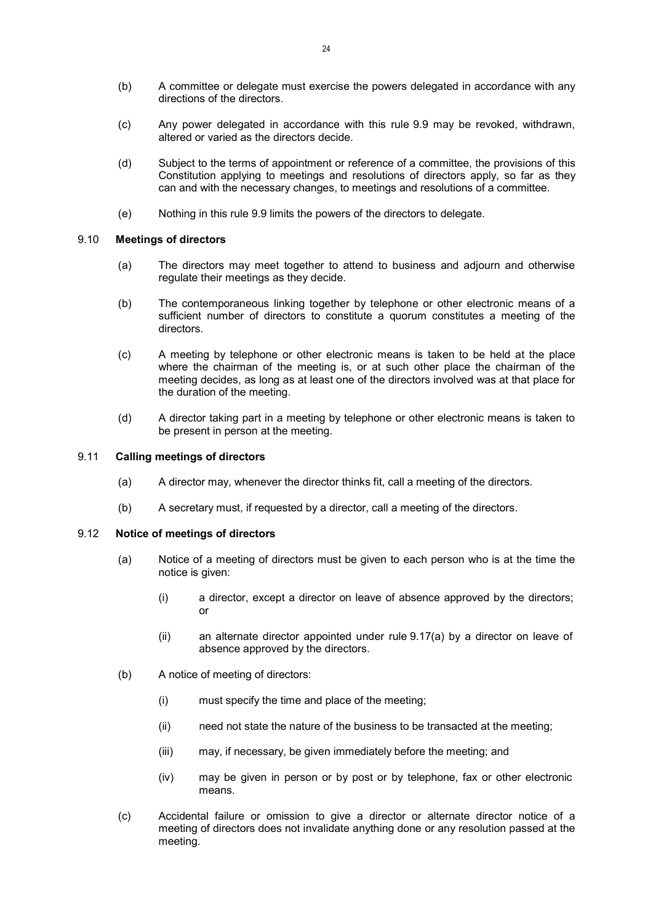- (b) A committee or delegate must exercise the powers delegated in accordance with any directions of the directors.
- (c) Any power delegated in accordance with this rule 9.9 may be revoked, withdrawn, altered or varied as the directors decide.
- (d) Subject to the terms of appointment or reference of a committee, the provisions of this Constitution applying to meetings and resolutions of directors apply, so far as they can and with the necessary changes, to meetings and resolutions of a committee.
- (e) Nothing in this rule 9.9 limits the powers of the directors to delegate.

## 9.10 Meetings of directors

- (a) The directors may meet together to attend to business and adjourn and otherwise regulate their meetings as they decide.
- (b) The contemporaneous linking together by telephone or other electronic means of a sufficient number of directors to constitute a quorum constitutes a meeting of the directors.
- (c) A meeting by telephone or other electronic means is taken to be held at the place where the chairman of the meeting is, or at such other place the chairman of the meeting decides, as long as at least one of the directors involved was at that place for the duration of the meeting.
- (d) A director taking part in a meeting by telephone or other electronic means is taken to be present in person at the meeting.

#### 9.11 Calling meetings of directors

- (a) A director may, whenever the director thinks fit, call a meeting of the directors.
- (b) A secretary must, if requested by a director, call a meeting of the directors.

## 9.12 Notice of meetings of directors

- (a) Notice of a meeting of directors must be given to each person who is at the time the notice is given:
	- (i) a director, except a director on leave of absence approved by the directors; or
	- (ii) an alternate director appointed under rule 9.17(a) by a director on leave of absence approved by the directors.
- (b) A notice of meeting of directors:
	- (i) must specify the time and place of the meeting;
	- (ii) need not state the nature of the business to be transacted at the meeting;
	- (iii) may, if necessary, be given immediately before the meeting; and
	- (iv) may be given in person or by post or by telephone, fax or other electronic means.
- (c) Accidental failure or omission to give a director or alternate director notice of a meeting of directors does not invalidate anything done or any resolution passed at the meeting.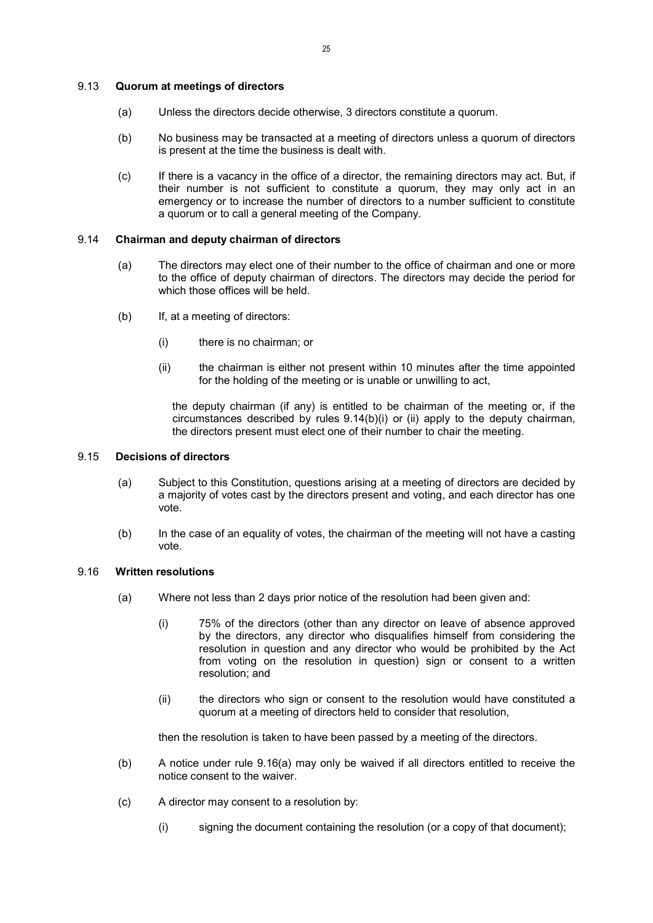#### 9.13 Quorum at meetings of directors

- (a) Unless the directors decide otherwise, 3 directors constitute a quorum.
- (b) No business may be transacted at a meeting of directors unless a quorum of directors is present at the time the business is dealt with.
- (c) If there is a vacancy in the office of a director, the remaining directors may act. But, if their number is not sufficient to constitute a quorum, they may only act in an emergency or to increase the number of directors to a number sufficient to constitute a quorum or to call a general meeting of the Company.

#### 9.14 Chairman and deputy chairman of directors

- (a) The directors may elect one of their number to the office of chairman and one or more to the office of deputy chairman of directors. The directors may decide the period for which those offices will be held.
- (b) If, at a meeting of directors:
	- (i) there is no chairman; or
	- (ii) the chairman is either not present within 10 minutes after the time appointed for the holding of the meeting or is unable or unwilling to act,

the deputy chairman (if any) is entitled to be chairman of the meeting or, if the circumstances described by rules 9.14(b)(i) or (ii) apply to the deputy chairman, the directors present must elect one of their number to chair the meeting.

## 9.15 Decisions of directors

- (a) Subject to this Constitution, questions arising at a meeting of directors are decided by a majority of votes cast by the directors present and voting, and each director has one vote.
- (b) In the case of an equality of votes, the chairman of the meeting will not have a casting vote.

## 9.16 Written resolutions

- (a) Where not less than 2 days prior notice of the resolution had been given and:
	- (i) 75% of the directors (other than any director on leave of absence approved by the directors, any director who disqualifies himself from considering the resolution in question and any director who would be prohibited by the Act from voting on the resolution in question) sign or consent to a written resolution; and
	- (ii) the directors who sign or consent to the resolution would have constituted a quorum at a meeting of directors held to consider that resolution,

then the resolution is taken to have been passed by a meeting of the directors.

- (b) A notice under rule 9.16(a) may only be waived if all directors entitled to receive the notice consent to the waiver.
- (c) A director may consent to a resolution by:
	- (i) signing the document containing the resolution (or a copy of that document);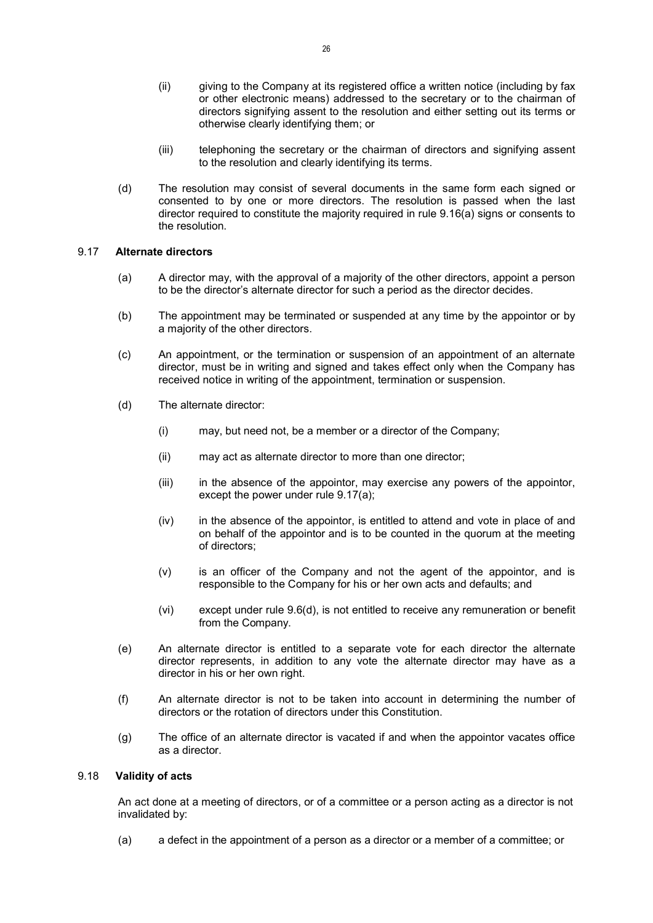- (ii) giving to the Company at its registered office a written notice (including by fax or other electronic means) addressed to the secretary or to the chairman of directors signifying assent to the resolution and either setting out its terms or otherwise clearly identifying them; or
- (iii) telephoning the secretary or the chairman of directors and signifying assent to the resolution and clearly identifying its terms.
- (d) The resolution may consist of several documents in the same form each signed or consented to by one or more directors. The resolution is passed when the last director required to constitute the majority required in rule 9.16(a) signs or consents to the resolution.

## 9.17 Alternate directors

- (a) A director may, with the approval of a majority of the other directors, appoint a person to be the director's alternate director for such a period as the director decides.
- (b) The appointment may be terminated or suspended at any time by the appointor or by a majority of the other directors.
- (c) An appointment, or the termination or suspension of an appointment of an alternate director, must be in writing and signed and takes effect only when the Company has received notice in writing of the appointment, termination or suspension.
- (d) The alternate director:
	- (i) may, but need not, be a member or a director of the Company;
	- (ii) may act as alternate director to more than one director;
	- (iii) in the absence of the appointor, may exercise any powers of the appointor, except the power under rule 9.17(a);
	- (iv) in the absence of the appointor, is entitled to attend and vote in place of and on behalf of the appointor and is to be counted in the quorum at the meeting of directors;
	- (v) is an officer of the Company and not the agent of the appointor, and is responsible to the Company for his or her own acts and defaults; and
	- (vi) except under rule 9.6(d), is not entitled to receive any remuneration or benefit from the Company.
- (e) An alternate director is entitled to a separate vote for each director the alternate director represents, in addition to any vote the alternate director may have as a director in his or her own right.
- (f) An alternate director is not to be taken into account in determining the number of directors or the rotation of directors under this Constitution.
- (g) The office of an alternate director is vacated if and when the appointor vacates office as a director.

## 9.18 Validity of acts

An act done at a meeting of directors, or of a committee or a person acting as a director is not invalidated by:

(a) a defect in the appointment of a person as a director or a member of a committee; or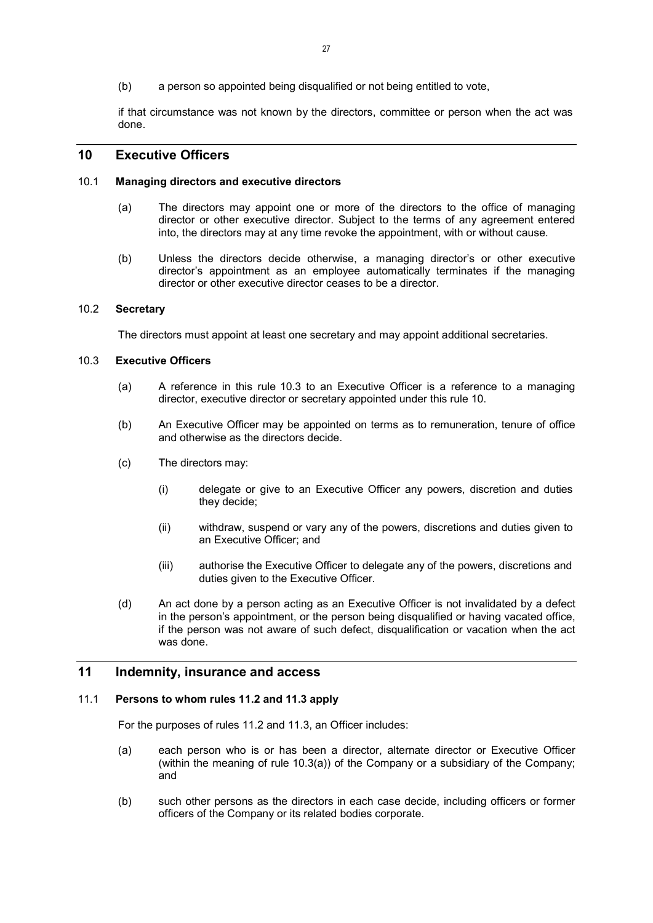(b) a person so appointed being disqualified or not being entitled to vote,

if that circumstance was not known by the directors, committee or person when the act was done.

## 10 Executive Officers

#### 10.1 Managing directors and executive directors

- (a) The directors may appoint one or more of the directors to the office of managing director or other executive director. Subject to the terms of any agreement entered into, the directors may at any time revoke the appointment, with or without cause.
- (b) Unless the directors decide otherwise, a managing director's or other executive director's appointment as an employee automatically terminates if the managing director or other executive director ceases to be a director.

## 10.2 Secretary

The directors must appoint at least one secretary and may appoint additional secretaries.

#### 10.3 Executive Officers

- (a) A reference in this rule 10.3 to an Executive Officer is a reference to a managing director, executive director or secretary appointed under this rule 10.
- (b) An Executive Officer may be appointed on terms as to remuneration, tenure of office and otherwise as the directors decide.
- (c) The directors may:
	- (i) delegate or give to an Executive Officer any powers, discretion and duties they decide;
	- (ii) withdraw, suspend or vary any of the powers, discretions and duties given to an Executive Officer; and
	- (iii) authorise the Executive Officer to delegate any of the powers, discretions and duties given to the Executive Officer.
- (d) An act done by a person acting as an Executive Officer is not invalidated by a defect in the person's appointment, or the person being disqualified or having vacated office, if the person was not aware of such defect, disqualification or vacation when the act was done.

## 11 Indemnity, insurance and access

#### 11.1 Persons to whom rules 11.2 and 11.3 apply

For the purposes of rules 11.2 and 11.3, an Officer includes:

- (a) each person who is or has been a director, alternate director or Executive Officer (within the meaning of rule 10.3(a)) of the Company or a subsidiary of the Company; and
- (b) such other persons as the directors in each case decide, including officers or former officers of the Company or its related bodies corporate.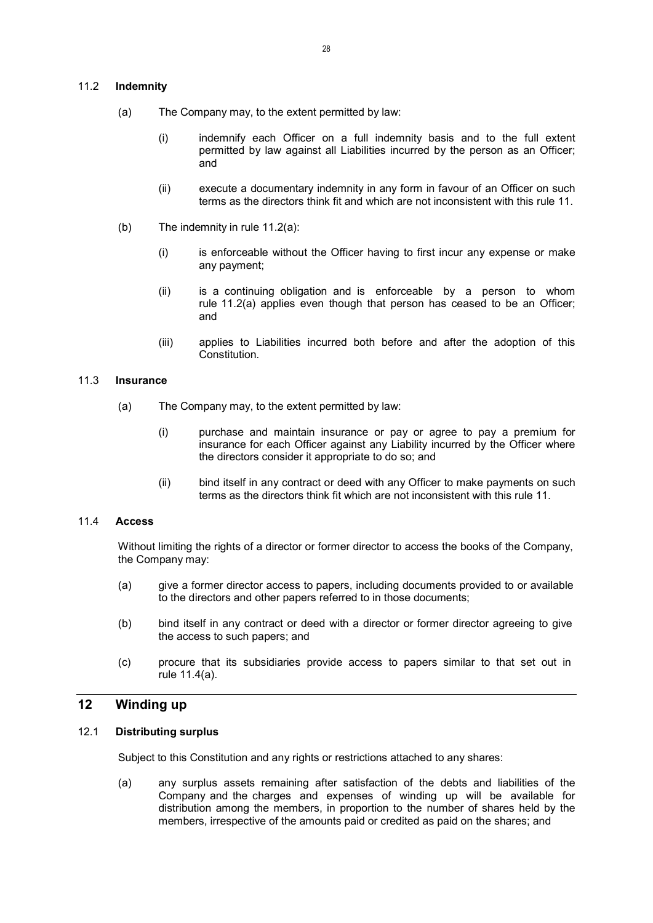## 11.2 Indemnity

- (a) The Company may, to the extent permitted by law:
	- (i) indemnify each Officer on a full indemnity basis and to the full extent permitted by law against all Liabilities incurred by the person as an Officer; and
	- (ii) execute a documentary indemnity in any form in favour of an Officer on such terms as the directors think fit and which are not inconsistent with this rule 11.
- (b) The indemnity in rule 11.2(a):
	- (i) is enforceable without the Officer having to first incur any expense or make any payment;
	- (ii) is a continuing obligation and is enforceable by a person to whom rule 11.2(a) applies even though that person has ceased to be an Officer; and
	- (iii) applies to Liabilities incurred both before and after the adoption of this Constitution.

## 11.3 Insurance

- (a) The Company may, to the extent permitted by law:
	- (i) purchase and maintain insurance or pay or agree to pay a premium for insurance for each Officer against any Liability incurred by the Officer where the directors consider it appropriate to do so; and
	- (ii) bind itself in any contract or deed with any Officer to make payments on such terms as the directors think fit which are not inconsistent with this rule 11.

#### 11.4 Access

Without limiting the rights of a director or former director to access the books of the Company, the Company may:

- (a) give a former director access to papers, including documents provided to or available to the directors and other papers referred to in those documents;
- (b) bind itself in any contract or deed with a director or former director agreeing to give the access to such papers; and
- (c) procure that its subsidiaries provide access to papers similar to that set out in rule 11.4(a).

## 12 Winding up

#### 12.1 Distributing surplus

Subject to this Constitution and any rights or restrictions attached to any shares:

(a) any surplus assets remaining after satisfaction of the debts and liabilities of the Company and the charges and expenses of winding up will be available for distribution among the members, in proportion to the number of shares held by the members, irrespective of the amounts paid or credited as paid on the shares; and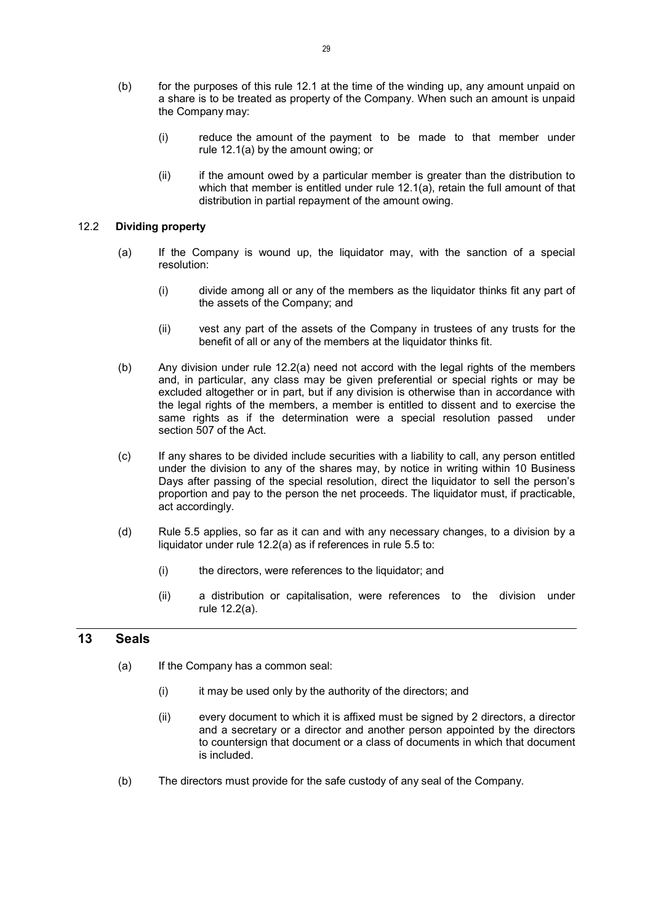- (b) for the purposes of this rule 12.1 at the time of the winding up, any amount unpaid on a share is to be treated as property of the Company. When such an amount is unpaid the Company may:
	- (i) reduce the amount of the payment to be made to that member under rule 12.1(a) by the amount owing; or
	- (ii) if the amount owed by a particular member is greater than the distribution to which that member is entitled under rule 12.1(a), retain the full amount of that distribution in partial repayment of the amount owing.

## 12.2 Dividing property

- (a) If the Company is wound up, the liquidator may, with the sanction of a special resolution:
	- (i) divide among all or any of the members as the liquidator thinks fit any part of the assets of the Company; and
	- (ii) vest any part of the assets of the Company in trustees of any trusts for the benefit of all or any of the members at the liquidator thinks fit.
- (b) Any division under rule 12.2(a) need not accord with the legal rights of the members and, in particular, any class may be given preferential or special rights or may be excluded altogether or in part, but if any division is otherwise than in accordance with the legal rights of the members, a member is entitled to dissent and to exercise the same rights as if the determination were a special resolution passed under section 507 of the Act.
- (c) If any shares to be divided include securities with a liability to call, any person entitled under the division to any of the shares may, by notice in writing within 10 Business Days after passing of the special resolution, direct the liquidator to sell the person's proportion and pay to the person the net proceeds. The liquidator must, if practicable, act accordingly.
- (d) Rule 5.5 applies, so far as it can and with any necessary changes, to a division by a liquidator under rule 12.2(a) as if references in rule 5.5 to:
	- (i) the directors, were references to the liquidator; and
	- (ii) a distribution or capitalisation, were references to the division under rule 12.2(a).

## 13 Seals

- (a) If the Company has a common seal:
	- (i) it may be used only by the authority of the directors; and
	- (ii) every document to which it is affixed must be signed by 2 directors, a director and a secretary or a director and another person appointed by the directors to countersign that document or a class of documents in which that document is included.
- (b) The directors must provide for the safe custody of any seal of the Company.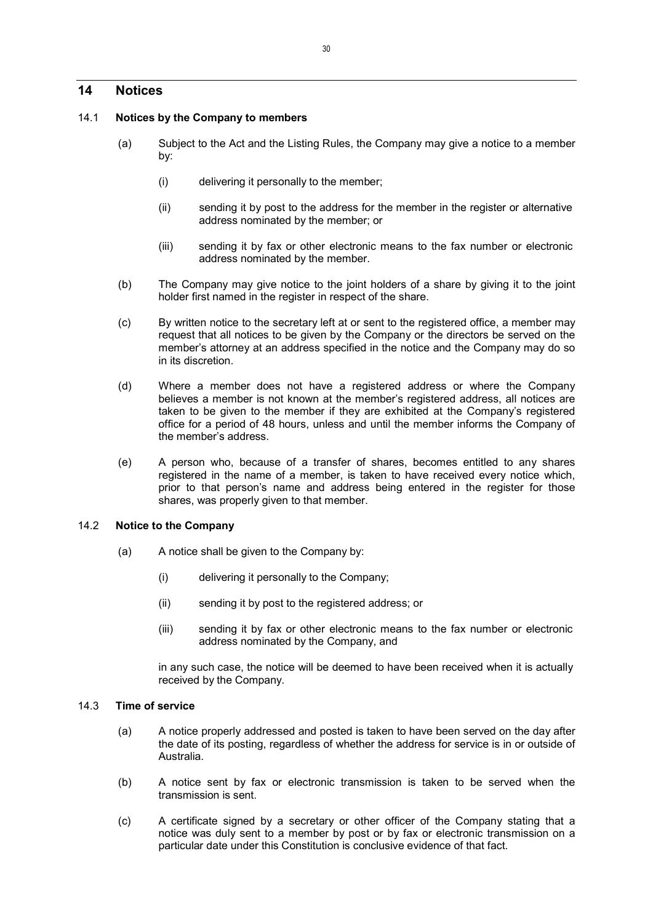## 14 Notices

## 14.1 Notices by the Company to members

- (a) Subject to the Act and the Listing Rules, the Company may give a notice to a member by:
	- (i) delivering it personally to the member;
	- (ii) sending it by post to the address for the member in the register or alternative address nominated by the member; or
	- (iii) sending it by fax or other electronic means to the fax number or electronic address nominated by the member.
- (b) The Company may give notice to the joint holders of a share by giving it to the joint holder first named in the register in respect of the share.
- (c) By written notice to the secretary left at or sent to the registered office, a member may request that all notices to be given by the Company or the directors be served on the member's attorney at an address specified in the notice and the Company may do so in its discretion.
- (d) Where a member does not have a registered address or where the Company believes a member is not known at the member's registered address, all notices are taken to be given to the member if they are exhibited at the Company's registered office for a period of 48 hours, unless and until the member informs the Company of the member's address.
- (e) A person who, because of a transfer of shares, becomes entitled to any shares registered in the name of a member, is taken to have received every notice which, prior to that person's name and address being entered in the register for those shares, was properly given to that member.

## 14.2 Notice to the Company

- (a) A notice shall be given to the Company by:
	- (i) delivering it personally to the Company;
	- (ii) sending it by post to the registered address; or
	- (iii) sending it by fax or other electronic means to the fax number or electronic address nominated by the Company, and

in any such case, the notice will be deemed to have been received when it is actually received by the Company.

## 14.3 Time of service

- (a) A notice properly addressed and posted is taken to have been served on the day after the date of its posting, regardless of whether the address for service is in or outside of Australia.
- (b) A notice sent by fax or electronic transmission is taken to be served when the transmission is sent.
- (c) A certificate signed by a secretary or other officer of the Company stating that a notice was duly sent to a member by post or by fax or electronic transmission on a particular date under this Constitution is conclusive evidence of that fact.